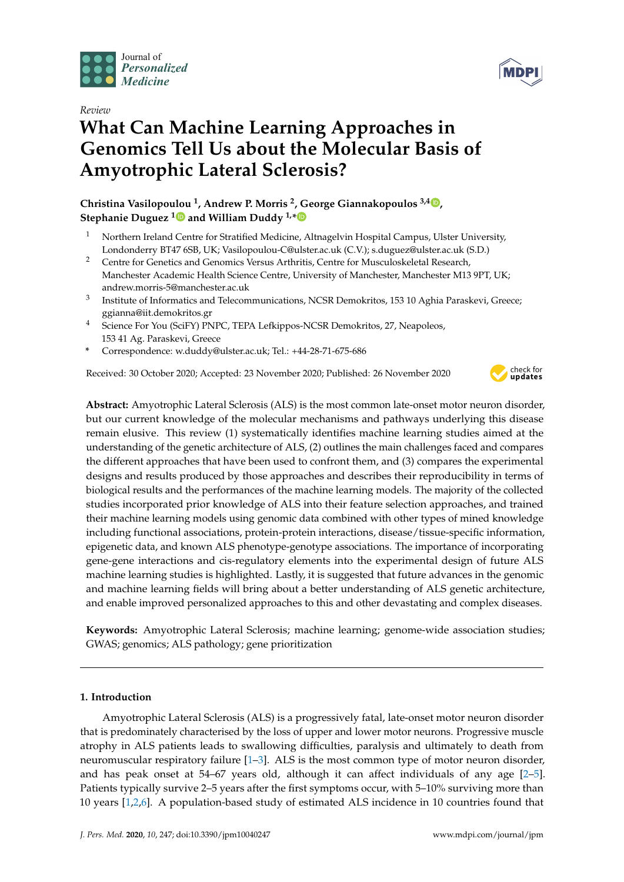

# *Review*

# **What Can Machine Learning Approaches in Genomics Tell Us about the Molecular Basis of Amyotrophic Lateral Sclerosis?**

**Christina Vasilopoulou <sup>1</sup> , Andrew P. Morris <sup>2</sup> , George Giannakopoulos 3,4 [,](https://orcid.org/0000-0003-2459-589X) Stephanie Duguez [1](https://orcid.org/0000-0001-6510-5426) and William Duddy 1,[\\*](https://orcid.org/0000-0003-2239-9094)**

- <sup>1</sup> Northern Ireland Centre for Stratified Medicine, Altnagelvin Hospital Campus, Ulster University, Londonderry BT47 6SB, UK; Vasilopoulou-C@ulster.ac.uk (C.V.); s.duguez@ulster.ac.uk (S.D.)
- <sup>2</sup> Centre for Genetics and Genomics Versus Arthritis, Centre for Musculoskeletal Research, Manchester Academic Health Science Centre, University of Manchester, Manchester M13 9PT, UK; andrew.morris-5@manchester.ac.uk
- 3 Institute of Informatics and Telecommunications, NCSR Demokritos, 153 10 Aghia Paraskevi, Greece; ggianna@iit.demokritos.gr
- Science For You (SciFY) PNPC, TEPA Lefkippos-NCSR Demokritos, 27, Neapoleos, 153 41 Ag. Paraskevi, Greece
- **\*** Correspondence: w.duddy@ulster.ac.uk; Tel.: +44-28-71-675-686

Received: 30 October 2020; Accepted: 23 November 2020; Published: 26 November 2020



**Abstract:** Amyotrophic Lateral Sclerosis (ALS) is the most common late-onset motor neuron disorder, but our current knowledge of the molecular mechanisms and pathways underlying this disease remain elusive. This review (1) systematically identifies machine learning studies aimed at the understanding of the genetic architecture of ALS, (2) outlines the main challenges faced and compares the different approaches that have been used to confront them, and (3) compares the experimental designs and results produced by those approaches and describes their reproducibility in terms of biological results and the performances of the machine learning models. The majority of the collected studies incorporated prior knowledge of ALS into their feature selection approaches, and trained their machine learning models using genomic data combined with other types of mined knowledge including functional associations, protein-protein interactions, disease/tissue-specific information, epigenetic data, and known ALS phenotype-genotype associations. The importance of incorporating gene-gene interactions and cis-regulatory elements into the experimental design of future ALS machine learning studies is highlighted. Lastly, it is suggested that future advances in the genomic and machine learning fields will bring about a better understanding of ALS genetic architecture, and enable improved personalized approaches to this and other devastating and complex diseases.

**Keywords:** Amyotrophic Lateral Sclerosis; machine learning; genome-wide association studies; GWAS; genomics; ALS pathology; gene prioritization

# **1. Introduction**

Amyotrophic Lateral Sclerosis (ALS) is a progressively fatal, late-onset motor neuron disorder that is predominately characterised by the loss of upper and lower motor neurons. Progressive muscle atrophy in ALS patients leads to swallowing difficulties, paralysis and ultimately to death from neuromuscular respiratory failure [\[1](#page-19-0)[–3\]](#page-19-1). ALS is the most common type of motor neuron disorder, and has peak onset at 54–67 years old, although it can affect individuals of any age [\[2](#page-19-2)[–5\]](#page-19-3). Patients typically survive 2–5 years after the first symptoms occur, with 5–10% surviving more than 10 years [\[1](#page-19-0)[,2](#page-19-2)[,6\]](#page-19-4). A population-based study of estimated ALS incidence in 10 countries found that

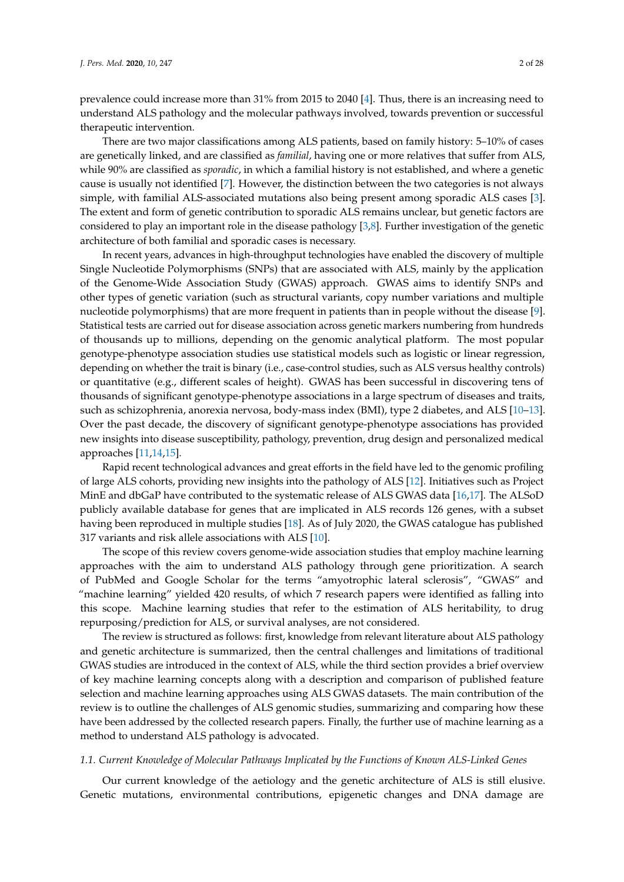prevalence could increase more than 31% from 2015 to 2040 [\[4\]](#page-19-5). Thus, there is an increasing need to understand ALS pathology and the molecular pathways involved, towards prevention or successful therapeutic intervention.

There are two major classifications among ALS patients, based on family history: 5–10% of cases are genetically linked, and are classified as *familial*, having one or more relatives that suffer from ALS, while 90% are classified as *sporadic*, in which a familial history is not established, and where a genetic cause is usually not identified [\[7\]](#page-19-6). However, the distinction between the two categories is not always simple, with familial ALS-associated mutations also being present among sporadic ALS cases [\[3\]](#page-19-1). The extent and form of genetic contribution to sporadic ALS remains unclear, but genetic factors are considered to play an important role in the disease pathology [\[3](#page-19-1)[,8\]](#page-19-7). Further investigation of the genetic architecture of both familial and sporadic cases is necessary.

In recent years, advances in high-throughput technologies have enabled the discovery of multiple Single Nucleotide Polymorphisms (SNPs) that are associated with ALS, mainly by the application of the Genome-Wide Association Study (GWAS) approach. GWAS aims to identify SNPs and other types of genetic variation (such as structural variants, copy number variations and multiple nucleotide polymorphisms) that are more frequent in patients than in people without the disease [\[9\]](#page-19-8). Statistical tests are carried out for disease association across genetic markers numbering from hundreds of thousands up to millions, depending on the genomic analytical platform. The most popular genotype-phenotype association studies use statistical models such as logistic or linear regression, depending on whether the trait is binary (i.e., case-control studies, such as ALS versus healthy controls) or quantitative (e.g., different scales of height). GWAS has been successful in discovering tens of thousands of significant genotype-phenotype associations in a large spectrum of diseases and traits, such as schizophrenia, anorexia nervosa, body-mass index (BMI), type 2 diabetes, and ALS [\[10–](#page-19-9)[13\]](#page-19-10). Over the past decade, the discovery of significant genotype-phenotype associations has provided new insights into disease susceptibility, pathology, prevention, drug design and personalized medical approaches [\[11,](#page-19-11)[14,](#page-19-12)[15\]](#page-19-13).

Rapid recent technological advances and great efforts in the field have led to the genomic profiling of large ALS cohorts, providing new insights into the pathology of ALS [\[12\]](#page-19-14). Initiatives such as Project MinE and dbGaP have contributed to the systematic release of ALS GWAS data [\[16](#page-19-15)[,17\]](#page-20-0). The ALSoD publicly available database for genes that are implicated in ALS records 126 genes, with a subset having been reproduced in multiple studies [\[18\]](#page-20-1). As of July 2020, the GWAS catalogue has published 317 variants and risk allele associations with ALS [\[10\]](#page-19-9).

The scope of this review covers genome-wide association studies that employ machine learning approaches with the aim to understand ALS pathology through gene prioritization. A search of PubMed and Google Scholar for the terms "amyotrophic lateral sclerosis", "GWAS" and "machine learning" yielded 420 results, of which 7 research papers were identified as falling into this scope. Machine learning studies that refer to the estimation of ALS heritability, to drug repurposing/prediction for ALS, or survival analyses, are not considered.

The review is structured as follows: first, knowledge from relevant literature about ALS pathology and genetic architecture is summarized, then the central challenges and limitations of traditional GWAS studies are introduced in the context of ALS, while the third section provides a brief overview of key machine learning concepts along with a description and comparison of published feature selection and machine learning approaches using ALS GWAS datasets. The main contribution of the review is to outline the challenges of ALS genomic studies, summarizing and comparing how these have been addressed by the collected research papers. Finally, the further use of machine learning as a method to understand ALS pathology is advocated.

#### <span id="page-1-0"></span>*1.1. Current Knowledge of Molecular Pathways Implicated by the Functions of Known ALS-Linked Genes*

Our current knowledge of the aetiology and the genetic architecture of ALS is still elusive. Genetic mutations, environmental contributions, epigenetic changes and DNA damage are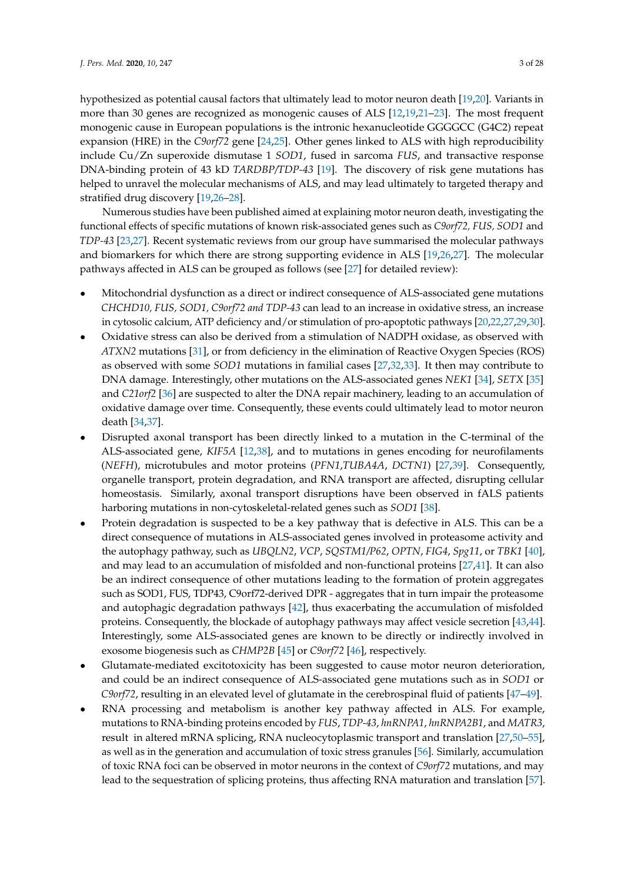hypothesized as potential causal factors that ultimately lead to motor neuron death [\[19](#page-20-2)[,20\]](#page-20-3). Variants in more than 30 genes are recognized as monogenic causes of ALS [\[12,](#page-19-14)[19,](#page-20-2)[21](#page-20-4)[–23\]](#page-20-5). The most frequent monogenic cause in European populations is the intronic hexanucleotide GGGGCC (G4C2) repeat expansion (HRE) in the *C9orf72* gene [\[24,](#page-20-6)[25\]](#page-20-7). Other genes linked to ALS with high reproducibility include Cu/Zn superoxide dismutase 1 *SOD1*, fused in sarcoma *FUS*, and transactive response DNA-binding protein of 43 kD *TARDBP/TDP-43* [\[19\]](#page-20-2). The discovery of risk gene mutations has helped to unravel the molecular mechanisms of ALS, and may lead ultimately to targeted therapy and stratified drug discovery [\[19,](#page-20-2)[26–](#page-20-8)[28\]](#page-20-9).

Numerous studies have been published aimed at explaining motor neuron death, investigating the functional effects of specific mutations of known risk-associated genes such as *C9orf72, FUS, SOD1* and *TDP-43* [\[23,](#page-20-5)[27\]](#page-20-10). Recent systematic reviews from our group have summarised the molecular pathways and biomarkers for which there are strong supporting evidence in ALS [\[19,](#page-20-2)[26,](#page-20-8)[27\]](#page-20-10). The molecular pathways affected in ALS can be grouped as follows (see [\[27\]](#page-20-10) for detailed review):

- Mitochondrial dysfunction as a direct or indirect consequence of ALS-associated gene mutations *CHCHD10, FUS, SOD1, C9orf72 and TDP-43* can lead to an increase in oxidative stress, an increase in cytosolic calcium, ATP deficiency and/or stimulation of pro-apoptotic pathways [\[20](#page-20-3)[,22](#page-20-11)[,27](#page-20-10)[,29,](#page-20-12)[30\]](#page-20-13).
- Oxidative stress can also be derived from a stimulation of NADPH oxidase, as observed with *ATXN2* mutations [\[31\]](#page-20-14), or from deficiency in the elimination of Reactive Oxygen Species (ROS) as observed with some *SOD1* mutations in familial cases [\[27,](#page-20-10)[32,](#page-20-15)[33\]](#page-20-16). It then may contribute to DNA damage. Interestingly, other mutations on the ALS-associated genes *NEK1* [\[34\]](#page-20-17), *SETX* [\[35\]](#page-20-18) and *C21orf2* [\[36\]](#page-21-0) are suspected to alter the DNA repair machinery, leading to an accumulation of oxidative damage over time. Consequently, these events could ultimately lead to motor neuron death [\[34](#page-20-17)[,37\]](#page-21-1).
- Disrupted axonal transport has been directly linked to a mutation in the C-terminal of the ALS-associated gene, *KIF5A* [\[12](#page-19-14)[,38\]](#page-21-2), and to mutations in genes encoding for neurofilaments (*NEFH*), microtubules and motor proteins (*PFN1*,*TUBA4A*, *DCTN1*) [\[27,](#page-20-10)[39\]](#page-21-3). Consequently, organelle transport, protein degradation, and RNA transport are affected, disrupting cellular homeostasis. Similarly, axonal transport disruptions have been observed in fALS patients harboring mutations in non-cytoskeletal-related genes such as *SOD1* [\[38\]](#page-21-2).
- Protein degradation is suspected to be a key pathway that is defective in ALS. This can be a direct consequence of mutations in ALS-associated genes involved in proteasome activity and the autophagy pathway, such as *UBQLN2*, *VCP*, *SQSTM1/P62*, *OPTN*, *FIG4*, *Spg11*, or *TBK1* [\[40\]](#page-21-4), and may lead to an accumulation of misfolded and non-functional proteins [\[27](#page-20-10)[,41\]](#page-21-5). It can also be an indirect consequence of other mutations leading to the formation of protein aggregates such as SOD1, FUS, TDP43, C9orf72-derived DPR - aggregates that in turn impair the proteasome and autophagic degradation pathways [\[42\]](#page-21-6), thus exacerbating the accumulation of misfolded proteins. Consequently, the blockade of autophagy pathways may affect vesicle secretion [\[43](#page-21-7)[,44\]](#page-21-8). Interestingly, some ALS-associated genes are known to be directly or indirectly involved in exosome biogenesis such as *CHMP2B* [\[45\]](#page-21-9) or *C9orf72* [\[46\]](#page-21-10), respectively.
- Glutamate-mediated excitotoxicity has been suggested to cause motor neuron deterioration, and could be an indirect consequence of ALS-associated gene mutations such as in *SOD1* or *C9orf72*, resulting in an elevated level of glutamate in the cerebrospinal fluid of patients [\[47–](#page-21-11)[49\]](#page-21-12).
- RNA processing and metabolism is another key pathway affected in ALS. For example, mutations to RNA-binding proteins encoded by *FUS*, *TDP-43*, *hnRNPA1*, *hnRNPA2B1*, and *MATR3*, result in altered mRNA splicing, RNA nucleocytoplasmic transport and translation [\[27,](#page-20-10)[50](#page-21-13)[–55\]](#page-22-0), as well as in the generation and accumulation of toxic stress granules [\[56\]](#page-22-1). Similarly, accumulation of toxic RNA foci can be observed in motor neurons in the context of *C9orf72* mutations, and may lead to the sequestration of splicing proteins, thus affecting RNA maturation and translation [\[57\]](#page-22-2).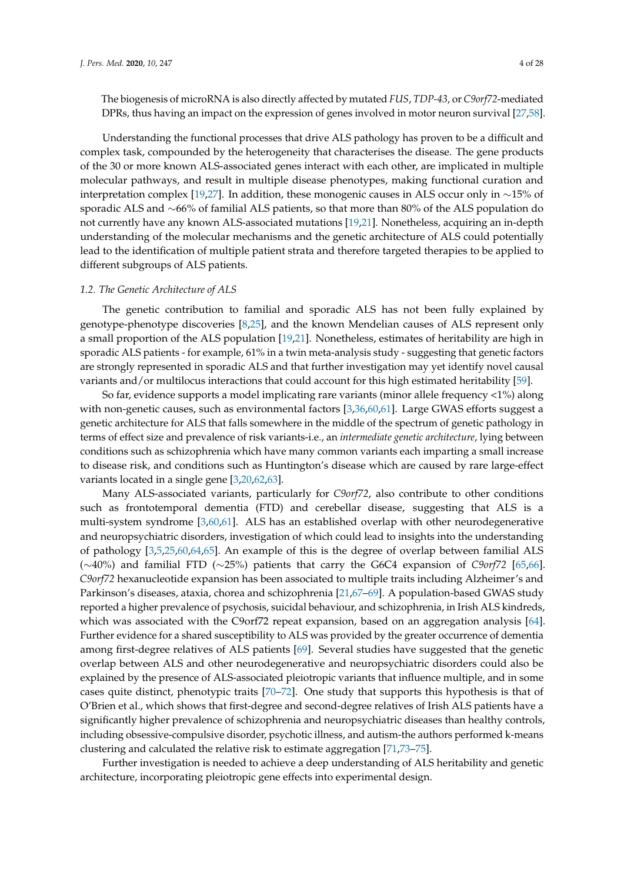The biogenesis of microRNA is also directly affected by mutated *FUS*, *TDP-43*, or *C9orf72*-mediated DPRs, thus having an impact on the expression of genes involved in motor neuron survival [\[27](#page-20-10)[,58\]](#page-22-3).

Understanding the functional processes that drive ALS pathology has proven to be a difficult and complex task, compounded by the heterogeneity that characterises the disease. The gene products of the 30 or more known ALS-associated genes interact with each other, are implicated in multiple molecular pathways, and result in multiple disease phenotypes, making functional curation and interpretation complex [\[19,](#page-20-2)[27\]](#page-20-10). In addition, these monogenic causes in ALS occur only in ∼15% of sporadic ALS and ∼66% of familial ALS patients, so that more than 80% of the ALS population do not currently have any known ALS-associated mutations [\[19,](#page-20-2)[21\]](#page-20-4). Nonetheless, acquiring an in-depth understanding of the molecular mechanisms and the genetic architecture of ALS could potentially lead to the identification of multiple patient strata and therefore targeted therapies to be applied to different subgroups of ALS patients.

#### *1.2. The Genetic Architecture of ALS*

The genetic contribution to familial and sporadic ALS has not been fully explained by genotype-phenotype discoveries [\[8,](#page-19-7)[25\]](#page-20-7), and the known Mendelian causes of ALS represent only a small proportion of the ALS population [\[19,](#page-20-2)[21\]](#page-20-4). Nonetheless, estimates of heritability are high in sporadic ALS patients - for example, 61% in a twin meta-analysis study - suggesting that genetic factors are strongly represented in sporadic ALS and that further investigation may yet identify novel causal variants and/or multilocus interactions that could account for this high estimated heritability [\[59\]](#page-22-4).

So far, evidence supports a model implicating rare variants (minor allele frequency <1%) along with non-genetic causes, such as environmental factors [\[3,](#page-19-1)[36](#page-21-0)[,60,](#page-22-5)[61\]](#page-22-6). Large GWAS efforts suggest a genetic architecture for ALS that falls somewhere in the middle of the spectrum of genetic pathology in terms of effect size and prevalence of risk variants-i.e., an *intermediate genetic architecture*, lying between conditions such as schizophrenia which have many common variants each imparting a small increase to disease risk, and conditions such as Huntington's disease which are caused by rare large-effect variants located in a single gene [\[3,](#page-19-1)[20,](#page-20-3)[62,](#page-22-7)[63\]](#page-22-8).

Many ALS-associated variants, particularly for *C9orf72*, also contribute to other conditions such as frontotemporal dementia (FTD) and cerebellar disease, suggesting that ALS is a multi-system syndrome [\[3,](#page-19-1)[60,](#page-22-5)[61\]](#page-22-6). ALS has an established overlap with other neurodegenerative and neuropsychiatric disorders, investigation of which could lead to insights into the understanding of pathology [\[3,](#page-19-1)[5,](#page-19-3)[25,](#page-20-7)[60,](#page-22-5)[64,](#page-22-9)[65\]](#page-22-10). An example of this is the degree of overlap between familial ALS (∼40%) and familial FTD (∼25%) patients that carry the G6C4 expansion of *C9orf72* [\[65,](#page-22-10)[66\]](#page-22-11). *C9orf72* hexanucleotide expansion has been associated to multiple traits including Alzheimer's and Parkinson's diseases, ataxia, chorea and schizophrenia [\[21](#page-20-4)[,67](#page-22-12)[–69\]](#page-22-13). A population-based GWAS study reported a higher prevalence of psychosis, suicidal behaviour, and schizophrenia, in Irish ALS kindreds, which was associated with the C9orf72 repeat expansion, based on an aggregation analysis [\[64\]](#page-22-9). Further evidence for a shared susceptibility to ALS was provided by the greater occurrence of dementia among first-degree relatives of ALS patients [\[69\]](#page-22-13). Several studies have suggested that the genetic overlap between ALS and other neurodegenerative and neuropsychiatric disorders could also be explained by the presence of ALS-associated pleiotropic variants that influence multiple, and in some cases quite distinct, phenotypic traits [\[70](#page-22-14)[–72\]](#page-22-15). One study that supports this hypothesis is that of O'Brien et al., which shows that first-degree and second-degree relatives of Irish ALS patients have a significantly higher prevalence of schizophrenia and neuropsychiatric diseases than healthy controls, including obsessive-compulsive disorder, psychotic illness, and autism-the authors performed k-means clustering and calculated the relative risk to estimate aggregation [\[71,](#page-22-16)[73](#page-22-17)[–75\]](#page-23-0).

Further investigation is needed to achieve a deep understanding of ALS heritability and genetic architecture, incorporating pleiotropic gene effects into experimental design.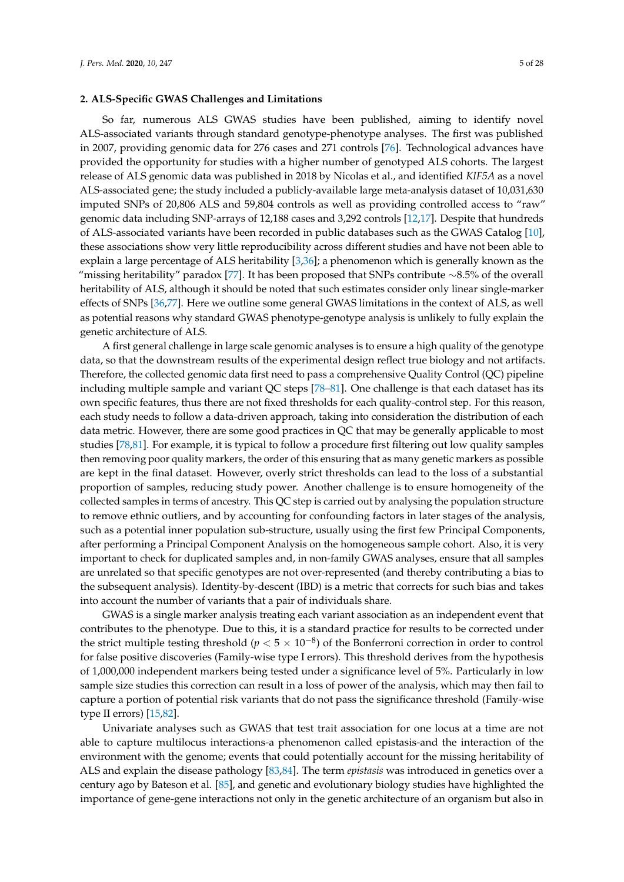#### **2. ALS-Specific GWAS Challenges and Limitations**

So far, numerous ALS GWAS studies have been published, aiming to identify novel ALS-associated variants through standard genotype-phenotype analyses. The first was published in 2007, providing genomic data for 276 cases and 271 controls [\[76\]](#page-23-1). Technological advances have provided the opportunity for studies with a higher number of genotyped ALS cohorts. The largest release of ALS genomic data was published in 2018 by Nicolas et al., and identified *KIF5A* as a novel ALS-associated gene; the study included a publicly-available large meta-analysis dataset of 10,031,630 imputed SNPs of 20,806 ALS and 59,804 controls as well as providing controlled access to "raw" genomic data including SNP-arrays of 12,188 cases and 3,292 controls [\[12,](#page-19-14)[17\]](#page-20-0). Despite that hundreds of ALS-associated variants have been recorded in public databases such as the GWAS Catalog [\[10\]](#page-19-9), these associations show very little reproducibility across different studies and have not been able to explain a large percentage of ALS heritability [\[3](#page-19-1)[,36\]](#page-21-0); a phenomenon which is generally known as the "missing heritability" paradox [\[77\]](#page-23-2). It has been proposed that SNPs contribute ∼8.5% of the overall heritability of ALS, although it should be noted that such estimates consider only linear single-marker effects of SNPs [\[36](#page-21-0)[,77\]](#page-23-2). Here we outline some general GWAS limitations in the context of ALS, as well as potential reasons why standard GWAS phenotype-genotype analysis is unlikely to fully explain the genetic architecture of ALS.

A first general challenge in large scale genomic analyses is to ensure a high quality of the genotype data, so that the downstream results of the experimental design reflect true biology and not artifacts. Therefore, the collected genomic data first need to pass a comprehensive Quality Control (QC) pipeline including multiple sample and variant QC steps [\[78](#page-23-3)[–81\]](#page-23-4). One challenge is that each dataset has its own specific features, thus there are not fixed thresholds for each quality-control step. For this reason, each study needs to follow a data-driven approach, taking into consideration the distribution of each data metric. However, there are some good practices in QC that may be generally applicable to most studies [\[78,](#page-23-3)[81\]](#page-23-4). For example, it is typical to follow a procedure first filtering out low quality samples then removing poor quality markers, the order of this ensuring that as many genetic markers as possible are kept in the final dataset. However, overly strict thresholds can lead to the loss of a substantial proportion of samples, reducing study power. Another challenge is to ensure homogeneity of the collected samples in terms of ancestry. This QC step is carried out by analysing the population structure to remove ethnic outliers, and by accounting for confounding factors in later stages of the analysis, such as a potential inner population sub-structure, usually using the first few Principal Components, after performing a Principal Component Analysis on the homogeneous sample cohort. Also, it is very important to check for duplicated samples and, in non-family GWAS analyses, ensure that all samples are unrelated so that specific genotypes are not over-represented (and thereby contributing a bias to the subsequent analysis). Identity-by-descent (IBD) is a metric that corrects for such bias and takes into account the number of variants that a pair of individuals share.

GWAS is a single marker analysis treating each variant association as an independent event that contributes to the phenotype. Due to this, it is a standard practice for results to be corrected under the strict multiple testing threshold ( $p < 5 \times 10^{-8}$ ) of the Bonferroni correction in order to control for false positive discoveries (Family-wise type I errors). This threshold derives from the hypothesis of 1,000,000 independent markers being tested under a significance level of 5%. Particularly in low sample size studies this correction can result in a loss of power of the analysis, which may then fail to capture a portion of potential risk variants that do not pass the significance threshold (Family-wise type II errors) [\[15](#page-19-13)[,82\]](#page-23-5).

Univariate analyses such as GWAS that test trait association for one locus at a time are not able to capture multilocus interactions-a phenomenon called epistasis-and the interaction of the environment with the genome; events that could potentially account for the missing heritability of ALS and explain the disease pathology [\[83,](#page-23-6)[84\]](#page-23-7). The term *epistasis* was introduced in genetics over a century ago by Bateson et al. [\[85\]](#page-23-8), and genetic and evolutionary biology studies have highlighted the importance of gene-gene interactions not only in the genetic architecture of an organism but also in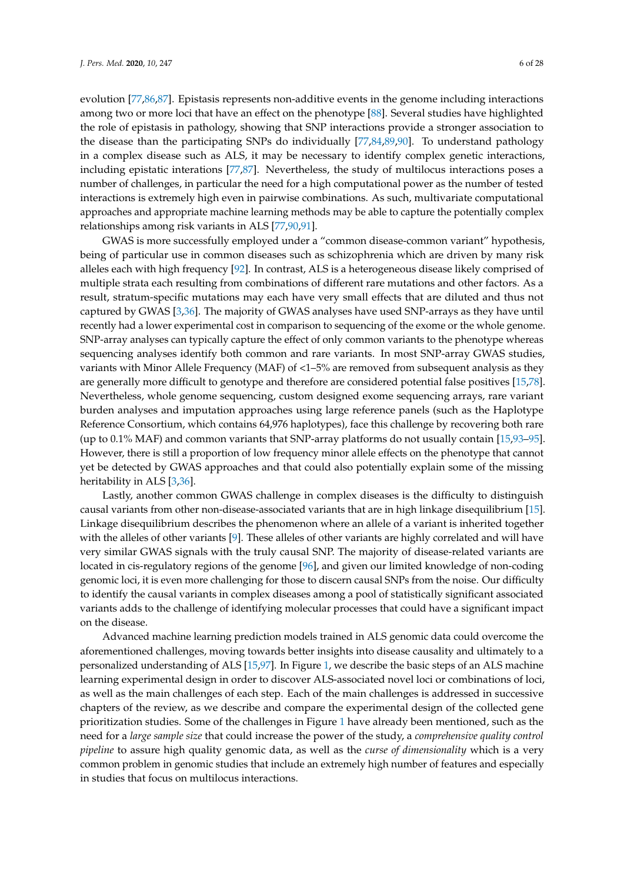evolution [\[77](#page-23-2)[,86,](#page-23-9)[87\]](#page-23-10). Epistasis represents non-additive events in the genome including interactions among two or more loci that have an effect on the phenotype [\[88\]](#page-23-11). Several studies have highlighted the role of epistasis in pathology, showing that SNP interactions provide a stronger association to the disease than the participating SNPs do individually [\[77](#page-23-2)[,84](#page-23-7)[,89](#page-23-12)[,90\]](#page-23-13). To understand pathology in a complex disease such as ALS, it may be necessary to identify complex genetic interactions, including epistatic interations [\[77,](#page-23-2)[87\]](#page-23-10). Nevertheless, the study of multilocus interactions poses a number of challenges, in particular the need for a high computational power as the number of tested interactions is extremely high even in pairwise combinations. As such, multivariate computational approaches and appropriate machine learning methods may be able to capture the potentially complex relationships among risk variants in ALS [\[77](#page-23-2)[,90,](#page-23-13)[91\]](#page-23-14).

GWAS is more successfully employed under a "common disease-common variant" hypothesis, being of particular use in common diseases such as schizophrenia which are driven by many risk alleles each with high frequency [\[92\]](#page-23-15). In contrast, ALS is a heterogeneous disease likely comprised of multiple strata each resulting from combinations of different rare mutations and other factors. As a result, stratum-specific mutations may each have very small effects that are diluted and thus not captured by GWAS [\[3](#page-19-1)[,36\]](#page-21-0). The majority of GWAS analyses have used SNP-arrays as they have until recently had a lower experimental cost in comparison to sequencing of the exome or the whole genome. SNP-array analyses can typically capture the effect of only common variants to the phenotype whereas sequencing analyses identify both common and rare variants. In most SNP-array GWAS studies, variants with Minor Allele Frequency (MAF) of <1–5% are removed from subsequent analysis as they are generally more difficult to genotype and therefore are considered potential false positives [\[15,](#page-19-13)[78\]](#page-23-3). Nevertheless, whole genome sequencing, custom designed exome sequencing arrays, rare variant burden analyses and imputation approaches using large reference panels (such as the Haplotype Reference Consortium, which contains 64,976 haplotypes), face this challenge by recovering both rare (up to 0.1% MAF) and common variants that SNP-array platforms do not usually contain [\[15,](#page-19-13)[93–](#page-23-16)[95\]](#page-23-17). However, there is still a proportion of low frequency minor allele effects on the phenotype that cannot yet be detected by GWAS approaches and that could also potentially explain some of the missing heritability in ALS [\[3,](#page-19-1)[36\]](#page-21-0).

Lastly, another common GWAS challenge in complex diseases is the difficulty to distinguish causal variants from other non-disease-associated variants that are in high linkage disequilibrium [\[15\]](#page-19-13). Linkage disequilibrium describes the phenomenon where an allele of a variant is inherited together with the alleles of other variants [\[9\]](#page-19-8). These alleles of other variants are highly correlated and will have very similar GWAS signals with the truly causal SNP. The majority of disease-related variants are located in cis-regulatory regions of the genome [\[96\]](#page-24-0), and given our limited knowledge of non-coding genomic loci, it is even more challenging for those to discern causal SNPs from the noise. Our difficulty to identify the causal variants in complex diseases among a pool of statistically significant associated variants adds to the challenge of identifying molecular processes that could have a significant impact on the disease.

Advanced machine learning prediction models trained in ALS genomic data could overcome the aforementioned challenges, moving towards better insights into disease causality and ultimately to a personalized understanding of ALS [\[15](#page-19-13)[,97\]](#page-24-1). In Figure [1,](#page-6-0) we describe the basic steps of an ALS machine learning experimental design in order to discover ALS-associated novel loci or combinations of loci, as well as the main challenges of each step. Each of the main challenges is addressed in successive chapters of the review, as we describe and compare the experimental design of the collected gene prioritization studies. Some of the challenges in Figure [1](#page-6-0) have already been mentioned, such as the need for a *large sample size* that could increase the power of the study, a *comprehensive quality control pipeline* to assure high quality genomic data, as well as the *curse of dimensionality* which is a very common problem in genomic studies that include an extremely high number of features and especially in studies that focus on multilocus interactions.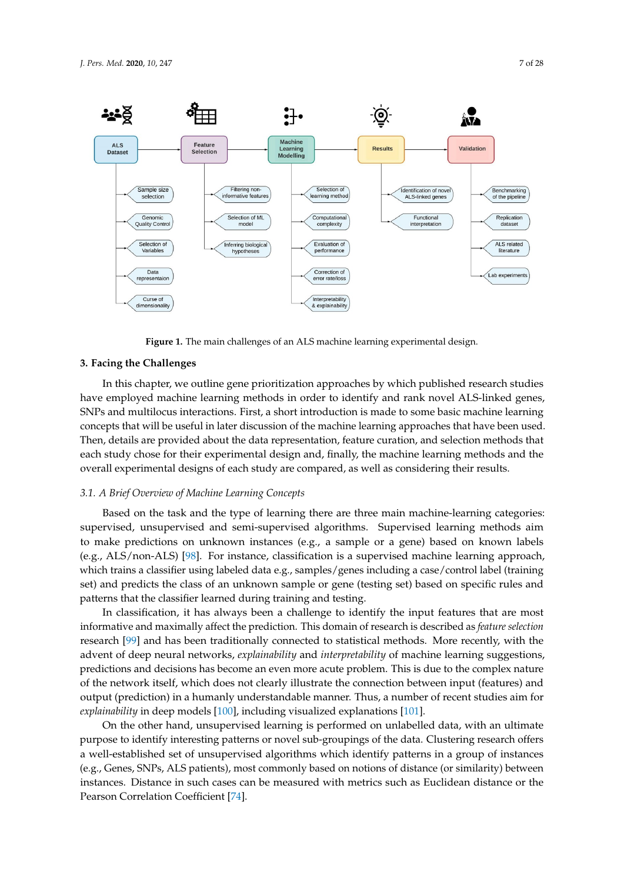<span id="page-6-0"></span>

**Figure 1.** The main challenges of an ALS machine learning experimental design.

## **3. Facing the Challenges**

In this chapter, we outline gene prioritization approaches by which published research studies have employed machine learning methods in order to identify and rank novel ALS-linked genes, SNPs and multilocus interactions. First, a short introduction is made to some basic machine learning concepts that will be useful in later discussion of the machine learning approaches that have been used. Then, details are provided about the data representation, feature curation, and selection methods that each study chose for their experimental design and, finally, the machine learning methods and the overall experimental designs of each study are compared, as well as considering their results.

# *3.1. A Brief Overview of Machine Learning Concepts*

Based on the task and the type of learning there are three main machine-learning categories: supervised, unsupervised and semi-supervised algorithms. Supervised learning methods aim to make predictions on unknown instances (e.g., a sample or a gene) based on known labels (e.g., ALS/non-ALS) [\[98\]](#page-24-2). For instance, classification is a supervised machine learning approach, which trains a classifier using labeled data e.g., samples/genes including a case/control label (training set) and predicts the class of an unknown sample or gene (testing set) based on specific rules and patterns that the classifier learned during training and testing.

In classification, it has always been a challenge to identify the input features that are most informative and maximally affect the prediction. This domain of research is described as *feature selection* research [\[99\]](#page-24-3) and has been traditionally connected to statistical methods. More recently, with the advent of deep neural networks, *explainability* and *interpretability* of machine learning suggestions, predictions and decisions has become an even more acute problem. This is due to the complex nature of the network itself, which does not clearly illustrate the connection between input (features) and output (prediction) in a humanly understandable manner. Thus, a number of recent studies aim for *explainability* in deep models [\[100\]](#page-24-4), including visualized explanations [\[101\]](#page-24-5).

On the other hand, unsupervised learning is performed on unlabelled data, with an ultimate purpose to identify interesting patterns or novel sub-groupings of the data. Clustering research offers a well-established set of unsupervised algorithms which identify patterns in a group of instances (e.g., Genes, SNPs, ALS patients), most commonly based on notions of distance (or similarity) between instances. Distance in such cases can be measured with metrics such as Euclidean distance or the Pearson Correlation Coefficient [\[74\]](#page-22-18).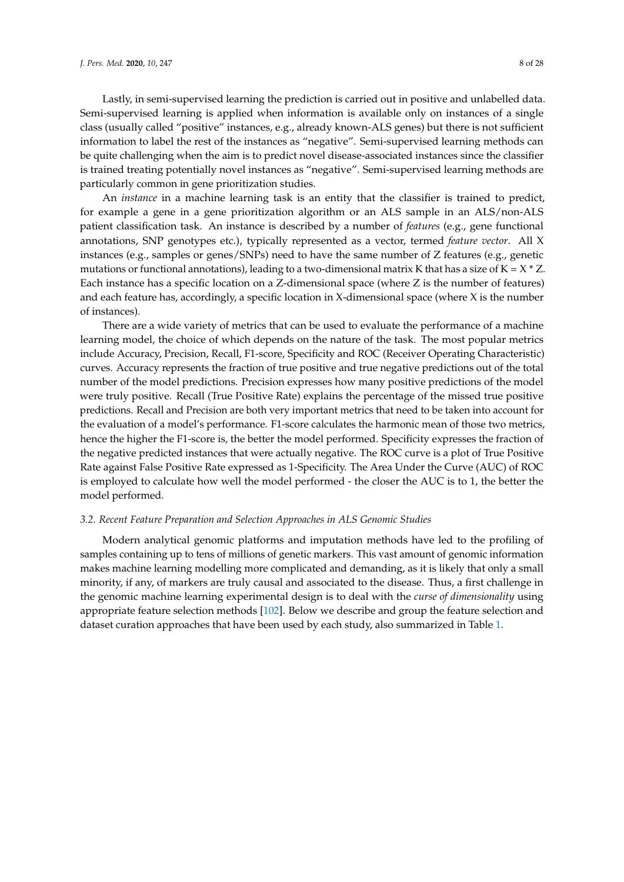Lastly, in semi-supervised learning the prediction is carried out in positive and unlabelled data. Semi-supervised learning is applied when information is available only on instances of a single class (usually called "positive" instances, e.g., already known-ALS genes) but there is not sufficient information to label the rest of the instances as "negative". Semi-supervised learning methods can be quite challenging when the aim is to predict novel disease-associated instances since the classifier is trained treating potentially novel instances as "negative". Semi-supervised learning methods are particularly common in gene prioritization studies.

An *instance* in a machine learning task is an entity that the classifier is trained to predict, for example a gene in a gene prioritization algorithm or an ALS sample in an ALS/non-ALS patient classification task. An instance is described by a number of *features* (e.g., gene functional annotations, SNP genotypes etc.), typically represented as a vector, termed *feature vector*. All X instances (e.g., samples or genes/SNPs) need to have the same number of Z features (e.g., genetic mutations or functional annotations), leading to a two-dimensional matrix K that has a size of  $K = X * Z$ . Each instance has a specific location on a Z-dimensional space (where Z is the number of features) and each feature has, accordingly, a specific location in X-dimensional space (where X is the number of instances).

There are a wide variety of metrics that can be used to evaluate the performance of a machine learning model, the choice of which depends on the nature of the task. The most popular metrics include Accuracy, Precision, Recall, F1-score, Specificity and ROC (Receiver Operating Characteristic) curves. Accuracy represents the fraction of true positive and true negative predictions out of the total number of the model predictions. Precision expresses how many positive predictions of the model were truly positive. Recall (True Positive Rate) explains the percentage of the missed true positive predictions. Recall and Precision are both very important metrics that need to be taken into account for the evaluation of a model's performance. F1-score calculates the harmonic mean of those two metrics, hence the higher the F1-score is, the better the model performed. Specificity expresses the fraction of the negative predicted instances that were actually negative. The ROC curve is a plot of True Positive Rate against False Positive Rate expressed as 1-Specificity. The Area Under the Curve (AUC) of ROC is employed to calculate how well the model performed - the closer the AUC is to 1, the better the model performed.

## <span id="page-7-0"></span>*3.2. Recent Feature Preparation and Selection Approaches in ALS Genomic Studies*

Modern analytical genomic platforms and imputation methods have led to the profiling of samples containing up to tens of millions of genetic markers. This vast amount of genomic information makes machine learning modelling more complicated and demanding, as it is likely that only a small minority, if any, of markers are truly causal and associated to the disease. Thus, a first challenge in the genomic machine learning experimental design is to deal with the *curse of dimensionality* using appropriate feature selection methods [\[102\]](#page-24-6). Below we describe and group the feature selection and dataset curation approaches that have been used by each study, also summarized in Table [1.](#page-8-0)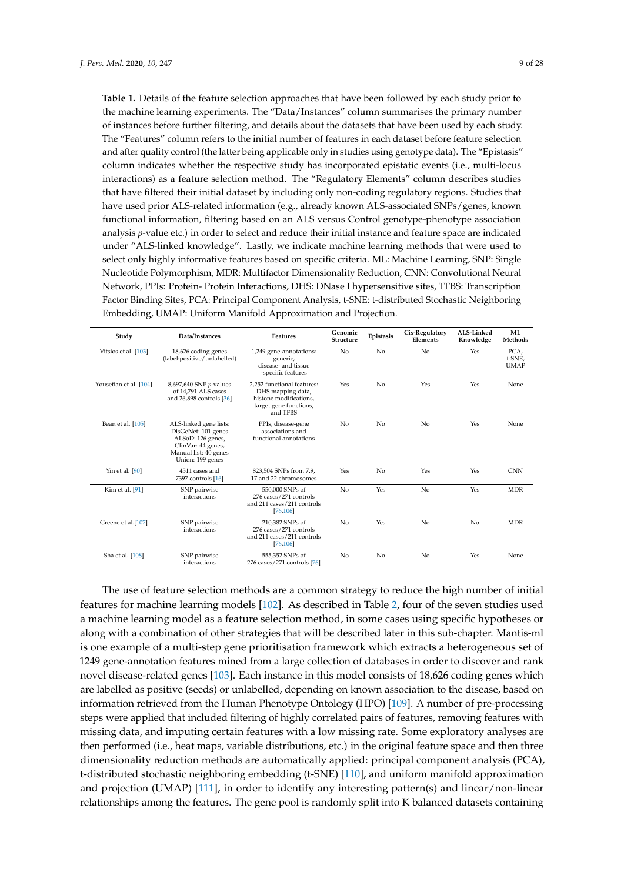<span id="page-8-0"></span>**Table 1.** Details of the feature selection approaches that have been followed by each study prior to the machine learning experiments. The "Data/Instances" column summarises the primary number of instances before further filtering, and details about the datasets that have been used by each study. The "Features" column refers to the initial number of features in each dataset before feature selection and after quality control (the latter being applicable only in studies using genotype data). The "Epistasis" column indicates whether the respective study has incorporated epistatic events (i.e., multi-locus interactions) as a feature selection method. The "Regulatory Elements" column describes studies that have filtered their initial dataset by including only non-coding regulatory regions. Studies that have used prior ALS-related information (e.g., already known ALS-associated SNPs/genes, known functional information, filtering based on an ALS versus Control genotype-phenotype association analysis *p*-value etc.) in order to select and reduce their initial instance and feature space are indicated under "ALS-linked knowledge". Lastly, we indicate machine learning methods that were used to select only highly informative features based on specific criteria. ML: Machine Learning, SNP: Single Nucleotide Polymorphism, MDR: Multifactor Dimensionality Reduction, CNN: Convolutional Neural Network, PPIs: Protein- Protein Interactions, DHS: DNase I hypersensitive sites, TFBS: Transcription Factor Binding Sites, PCA: Principal Component Analysis, t-SNE: t-distributed Stochastic Neighboring Embedding, UMAP: Uniform Manifold Approximation and Projection.

| Study                  | Data/Instances                                                                                                                        | <b>Features</b>                                                                                                 | Genomic<br>Structure | Epistasis | Cis-Regulatory<br>Elements | <b>ALS-Linked</b><br>Knowledge | MI.<br>Methods                |
|------------------------|---------------------------------------------------------------------------------------------------------------------------------------|-----------------------------------------------------------------------------------------------------------------|----------------------|-----------|----------------------------|--------------------------------|-------------------------------|
| Vitsios et al. [103]   | 18,626 coding genes<br>(label:positive/unlabelled)                                                                                    | 1,249 gene-annotations:<br>generic,<br>disease- and fissue<br>-specific features                                | N <sub>0</sub>       | No        | No                         | Yes                            | PCA.<br>t-SNE,<br><b>UMAP</b> |
| Yousefian et al. [104] | 8,697,640 SNP p-values<br>of 14,791 ALS cases<br>and 26,898 controls [36]                                                             | 2,252 functional features:<br>DHS mapping data,<br>histone modifications.<br>target gene functions,<br>and TFBS | Yes                  | No        | Yes                        | Yes                            | None                          |
| Bean et al. [105]      | ALS-linked gene lists:<br>DisGeNet: 101 genes<br>ALSoD: 126 genes,<br>ClinVar: 44 genes,<br>Manual list: 40 genes<br>Union: 199 genes | PPIs, disease-gene<br>associations and<br>functional annotations                                                | N <sub>0</sub>       | No        | No                         | Yes                            | None                          |
| Yin et al. [90]        | 4511 cases and<br>7397 controls $[16]$                                                                                                | 823,504 SNPs from 7,9,<br>17 and 22 chromosomes                                                                 | Yes                  | No        | Yes                        | Yes                            | <b>CNN</b>                    |
| Kim et al. [91]        | SNP pairwise<br>interactions                                                                                                          | 550,000 SNPs of<br>276 cases/271 controls<br>and 211 cases/211 controls<br>[76, 106]                            | N <sub>o</sub>       | Yes       | No                         | Yes                            | <b>MDR</b>                    |
| Greene et al.[107]     | SNP pairwise<br>interactions                                                                                                          | 210,382 SNPs of<br>276 cases/271 controls<br>and 211 cases/211 controls<br>[76, 106]                            | N <sub>0</sub>       | Yes       | No                         | N <sub>0</sub>                 | <b>MDR</b>                    |
| Sha et al. [108]       | SNP pairwise<br>interactions                                                                                                          | 555.352 SNPs of<br>276 cases/271 controls [76]                                                                  | N <sub>0</sub>       | No        | No                         | Yes                            | None                          |

The use of feature selection methods are a common strategy to reduce the high number of initial features for machine learning models [\[102\]](#page-24-6). As described in Table [2,](#page-9-0) four of the seven studies used a machine learning model as a feature selection method, in some cases using specific hypotheses or along with a combination of other strategies that will be described later in this sub-chapter. Mantis-ml is one example of a multi-step gene prioritisation framework which extracts a heterogeneous set of 1249 gene-annotation features mined from a large collection of databases in order to discover and rank novel disease-related genes [\[103\]](#page-24-7). Each instance in this model consists of 18,626 coding genes which are labelled as positive (seeds) or unlabelled, depending on known association to the disease, based on information retrieved from the Human Phenotype Ontology (HPO) [\[109\]](#page-24-13). A number of pre-processing steps were applied that included filtering of highly correlated pairs of features, removing features with missing data, and imputing certain features with a low missing rate. Some exploratory analyses are then performed (i.e., heat maps, variable distributions, etc.) in the original feature space and then three dimensionality reduction methods are automatically applied: principal component analysis (PCA), t-distributed stochastic neighboring embedding (t-SNE) [\[110\]](#page-24-14), and uniform manifold approximation and projection (UMAP) [\[111\]](#page-24-15), in order to identify any interesting pattern(s) and linear/non-linear relationships among the features. The gene pool is randomly split into K balanced datasets containing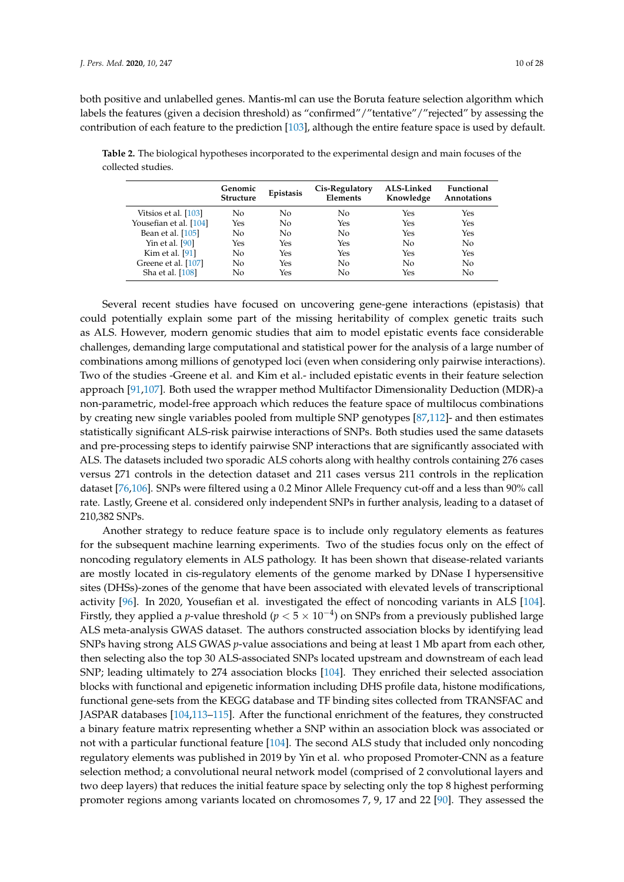both positive and unlabelled genes. Mantis-ml can use the Boruta feature selection algorithm which labels the features (given a decision threshold) as "confirmed"/"tentative"/"rejected" by assessing the contribution of each feature to the prediction [\[103\]](#page-24-7), although the entire feature space is used by default.

**Genomic Structure Epistasis Cis-Regulatory Elements ALS-Linked Knowledge Functional Annotations** Vitsios et al. [\[103\]](#page-24-7) No No No Yes Yes Yes<br>
Yes No Yes Yes Yes Yes Yes Yousefian et al. [\[104\]](#page-24-8) Yes No Bean et al. [\[105\]](#page-24-9) No No No Yes Yes Yin et al. [\[90\]](#page-23-13) Yes Yes Yes Yes No No Kim et al. [\[91\]](#page-23-14) No Yes Yes Yes Yes Yes Greene et al. [\[107\]](#page-24-11) No Yes No No No Sha et al. [\[108\]](#page-24-12) No Yes No Yes No Yes No

<span id="page-9-0"></span>**Table 2.** The biological hypotheses incorporated to the experimental design and main focuses of the collected studies.

Several recent studies have focused on uncovering gene-gene interactions (epistasis) that could potentially explain some part of the missing heritability of complex genetic traits such as ALS. However, modern genomic studies that aim to model epistatic events face considerable challenges, demanding large computational and statistical power for the analysis of a large number of combinations among millions of genotyped loci (even when considering only pairwise interactions). Two of the studies -Greene et al. and Kim et al.- included epistatic events in their feature selection approach [\[91,](#page-23-14)[107\]](#page-24-11). Both used the wrapper method Multifactor Dimensionality Deduction (MDR)-a non-parametric, model-free approach which reduces the feature space of multilocus combinations by creating new single variables pooled from multiple SNP genotypes [\[87](#page-23-10)[,112\]](#page-24-16)- and then estimates statistically significant ALS-risk pairwise interactions of SNPs. Both studies used the same datasets and pre-processing steps to identify pairwise SNP interactions that are significantly associated with ALS. The datasets included two sporadic ALS cohorts along with healthy controls containing 276 cases versus 271 controls in the detection dataset and 211 cases versus 211 controls in the replication dataset [\[76,](#page-23-1)[106\]](#page-24-10). SNPs were filtered using a 0.2 Minor Allele Frequency cut-off and a less than 90% call rate. Lastly, Greene et al. considered only independent SNPs in further analysis, leading to a dataset of 210,382 SNPs.

Another strategy to reduce feature space is to include only regulatory elements as features for the subsequent machine learning experiments. Two of the studies focus only on the effect of noncoding regulatory elements in ALS pathology. It has been shown that disease-related variants are mostly located in cis-regulatory elements of the genome marked by DNase I hypersensitive sites (DHSs)-zones of the genome that have been associated with elevated levels of transcriptional activity [\[96\]](#page-24-0). In 2020, Yousefian et al. investigated the effect of noncoding variants in ALS [\[104\]](#page-24-8). Firstly, they applied a *p*-value threshold ( $p < 5 \times 10^{-4}$ ) on SNPs from a previously published large ALS meta-analysis GWAS dataset. The authors constructed association blocks by identifying lead SNPs having strong ALS GWAS *p*-value associations and being at least 1 Mb apart from each other, then selecting also the top 30 ALS-associated SNPs located upstream and downstream of each lead SNP; leading ultimately to 274 association blocks [\[104\]](#page-24-8). They enriched their selected association blocks with functional and epigenetic information including DHS profile data, histone modifications, functional gene-sets from the KEGG database and TF binding sites collected from TRANSFAC and JASPAR databases [\[104,](#page-24-8)[113](#page-24-17)[–115\]](#page-24-18). After the functional enrichment of the features, they constructed a binary feature matrix representing whether a SNP within an association block was associated or not with a particular functional feature [\[104\]](#page-24-8). The second ALS study that included only noncoding regulatory elements was published in 2019 by Yin et al. who proposed Promoter-CNN as a feature selection method; a convolutional neural network model (comprised of 2 convolutional layers and two deep layers) that reduces the initial feature space by selecting only the top 8 highest performing promoter regions among variants located on chromosomes 7, 9, 17 and 22 [\[90\]](#page-23-13). They assessed the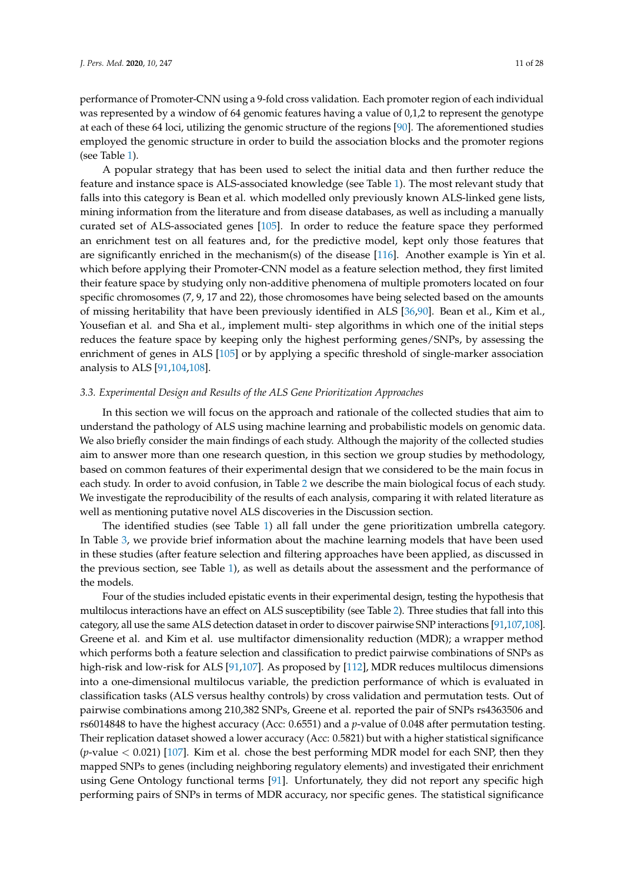performance of Promoter-CNN using a 9-fold cross validation. Each promoter region of each individual was represented by a window of 64 genomic features having a value of 0,1,2 to represent the genotype at each of these 64 loci, utilizing the genomic structure of the regions [\[90\]](#page-23-13). The aforementioned studies employed the genomic structure in order to build the association blocks and the promoter regions (see Table [1\)](#page-8-0).

A popular strategy that has been used to select the initial data and then further reduce the feature and instance space is ALS-associated knowledge (see Table [1\)](#page-8-0). The most relevant study that falls into this category is Bean et al. which modelled only previously known ALS-linked gene lists, mining information from the literature and from disease databases, as well as including a manually curated set of ALS-associated genes [\[105\]](#page-24-9). In order to reduce the feature space they performed an enrichment test on all features and, for the predictive model, kept only those features that are significantly enriched in the mechanism(s) of the disease [\[116\]](#page-24-19). Another example is Yin et al. which before applying their Promoter-CNN model as a feature selection method, they first limited their feature space by studying only non-additive phenomena of multiple promoters located on four specific chromosomes (7, 9, 17 and 22), those chromosomes have being selected based on the amounts of missing heritability that have been previously identified in ALS [\[36,](#page-21-0)[90\]](#page-23-13). Bean et al., Kim et al., Yousefian et al. and Sha et al., implement multi- step algorithms in which one of the initial steps reduces the feature space by keeping only the highest performing genes/SNPs, by assessing the enrichment of genes in ALS [\[105\]](#page-24-9) or by applying a specific threshold of single-marker association analysis to ALS [\[91,](#page-23-14)[104,](#page-24-8)[108\]](#page-24-12).

#### <span id="page-10-0"></span>*3.3. Experimental Design and Results of the ALS Gene Prioritization Approaches*

In this section we will focus on the approach and rationale of the collected studies that aim to understand the pathology of ALS using machine learning and probabilistic models on genomic data. We also briefly consider the main findings of each study. Although the majority of the collected studies aim to answer more than one research question, in this section we group studies by methodology, based on common features of their experimental design that we considered to be the main focus in each study. In order to avoid confusion, in Table [2](#page-9-0) we describe the main biological focus of each study. We investigate the reproducibility of the results of each analysis, comparing it with related literature as well as mentioning putative novel ALS discoveries in the Discussion section.

The identified studies (see Table [1\)](#page-8-0) all fall under the gene prioritization umbrella category. In Table [3,](#page-11-0) we provide brief information about the machine learning models that have been used in these studies (after feature selection and filtering approaches have been applied, as discussed in the previous section, see Table [1\)](#page-8-0), as well as details about the assessment and the performance of the models.

Four of the studies included epistatic events in their experimental design, testing the hypothesis that multilocus interactions have an effect on ALS susceptibility (see Table [2\)](#page-9-0). Three studies that fall into this category, all use the same ALS detection dataset in order to discover pairwise SNP interactions [\[91](#page-23-14)[,107,](#page-24-11)[108\]](#page-24-12). Greene et al. and Kim et al. use multifactor dimensionality reduction (MDR); a wrapper method which performs both a feature selection and classification to predict pairwise combinations of SNPs as high-risk and low-risk for ALS [\[91,](#page-23-14)[107\]](#page-24-11). As proposed by [\[112\]](#page-24-16), MDR reduces multilocus dimensions into a one-dimensional multilocus variable, the prediction performance of which is evaluated in classification tasks (ALS versus healthy controls) by cross validation and permutation tests. Out of pairwise combinations among 210,382 SNPs, Greene et al. reported the pair of SNPs rs4363506 and rs6014848 to have the highest accuracy (Acc: 0.6551) and a *p*-value of 0.048 after permutation testing. Their replication dataset showed a lower accuracy (Acc: 0.5821) but with a higher statistical significance  $(p$ -value  $\lt$  0.021) [\[107\]](#page-24-11). Kim et al. chose the best performing MDR model for each SNP, then they mapped SNPs to genes (including neighboring regulatory elements) and investigated their enrichment using Gene Ontology functional terms [\[91\]](#page-23-14). Unfortunately, they did not report any specific high performing pairs of SNPs in terms of MDR accuracy, nor specific genes. The statistical significance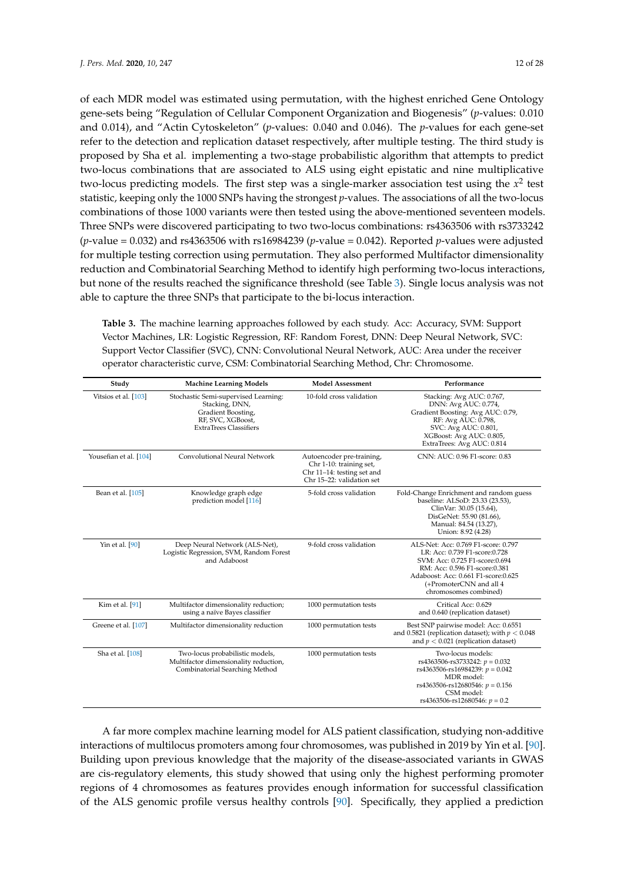of each MDR model was estimated using permutation, with the highest enriched Gene Ontology gene-sets being "Regulation of Cellular Component Organization and Biogenesis" (*p*-values: 0.010 and 0.014), and "Actin Cytoskeleton" (*p*-values: 0.040 and 0.046). The *p*-values for each gene-set refer to the detection and replication dataset respectively, after multiple testing. The third study is proposed by Sha et al. implementing a two-stage probabilistic algorithm that attempts to predict two-locus combinations that are associated to ALS using eight epistatic and nine multiplicative two-locus predicting models. The first step was a single-marker association test using the  $x^2$  test statistic, keeping only the 1000 SNPs having the strongest *p*-values. The associations of all the two-locus combinations of those 1000 variants were then tested using the above-mentioned seventeen models. Three SNPs were discovered participating to two two-locus combinations: rs4363506 with rs3733242 (*p*-value = 0.032) and rs4363506 with rs16984239 (*p*-value = 0.042). Reported *p*-values were adjusted for multiple testing correction using permutation. They also performed Multifactor dimensionality reduction and Combinatorial Searching Method to identify high performing two-locus interactions, but none of the results reached the significance threshold (see Table [3\)](#page-11-0). Single locus analysis was not able to capture the three SNPs that participate to the bi-locus interaction.

<span id="page-11-0"></span>**Table 3.** The machine learning approaches followed by each study. Acc: Accuracy, SVM: Support Vector Machines, LR: Logistic Regression, RF: Random Forest, DNN: Deep Neural Network, SVC: Support Vector Classifier (SVC), CNN: Convolutional Neural Network, AUC: Area under the receiver operator characteristic curve, CSM: Combinatorial Searching Method, Chr: Chromosome.

| Study                  | <b>Machine Learning Models</b>                                                                                                     | <b>Model Assessment</b>                                                                                         | Performance                                                                                                                                                                                                                        |
|------------------------|------------------------------------------------------------------------------------------------------------------------------------|-----------------------------------------------------------------------------------------------------------------|------------------------------------------------------------------------------------------------------------------------------------------------------------------------------------------------------------------------------------|
| Vitsios et al. [103]   | Stochastic Semi-supervised Learning:<br>Stacking, DNN,<br>Gradient Boosting,<br>RF, SVC, XGBoost,<br><b>ExtraTrees Classifiers</b> | 10-fold cross validation                                                                                        | Stacking: Avg AUC: 0.767,<br>DNN: Avg AUC: 0.774,<br>Gradient Boosting: Avg AUC: 0.79,<br>RF: Avg AUC: 0.798,<br>SVC: Avg AUC: 0.801,<br>XGBoost: Avg AUC: 0.805,<br>ExtraTrees: Avg AUC: 0.814                                    |
| Yousefian et al. [104] | Convolutional Neural Network                                                                                                       | Autoencoder pre-training,<br>Chr 1-10: training set,<br>Chr 11-14: testing set and<br>Chr 15-22: validation set | CNN: AUC: 0.96 F1-score: 0.83                                                                                                                                                                                                      |
| Bean et al. [105]      | Knowledge graph edge<br>prediction model [116]                                                                                     | 5-fold cross validation                                                                                         | Fold-Change Enrichment and random guess<br>baseline: ALSoD: 23.33 (23.53),<br>ClinVar: 30.05 (15.64),<br>DisGeNet: 55.90 (81.66),<br>Manual: 84.54 (13.27),<br>Union: 8.92 (4.28)                                                  |
| Yin et al. [90]        | Deep Neural Network (ALS-Net),<br>Logistic Regression, SVM, Random Forest<br>and Adaboost                                          | 9-fold cross validation                                                                                         | ALS-Net: Acc: 0.769 F1-score: 0.797<br>LR: Acc: 0.739 F1-score:0.728<br>SVM: Acc: 0.725 F1-score:0.694<br>RM: Acc: 0.596 F1-score:0.381<br>Adaboost: Acc: 0.661 F1-score:0.625<br>(+PromoterCNN and all 4<br>chromosomes combined) |
| Kim et al. [91]        | Multifactor dimensionality reduction;<br>using a naïve Bayes classifier                                                            | 1000 permutation tests                                                                                          | Critical Acc: 0.629<br>and 0.640 (replication dataset)                                                                                                                                                                             |
| Greene et al. [107]    | Multifactor dimensionality reduction                                                                                               | 1000 permutation tests                                                                                          | Best SNP pairwise model: Acc: 0.6551<br>and 0.5821 (replication dataset); with $p < 0.048$<br>and $p < 0.021$ (replication dataset)                                                                                                |
| Sha et al. [108]       | Two-locus probabilistic models,<br>Multifactor dimensionality reduction,<br>Combinatorial Searching Method                         | 1000 permutation tests                                                                                          | Two-locus models:<br>rs4363506-rs3733242: $p = 0.032$<br>rs4363506-rs16984239: $p = 0.042$<br>MDR model:<br>rs4363506-rs12680546: $p = 0.156$<br>CSM model:<br>rs4363506-rs12680546: $p = 0.2$                                     |

A far more complex machine learning model for ALS patient classification, studying non-additive interactions of multilocus promoters among four chromosomes, was published in 2019 by Yin et al. [\[90\]](#page-23-13). Building upon previous knowledge that the majority of the disease-associated variants in GWAS are cis-regulatory elements, this study showed that using only the highest performing promoter regions of 4 chromosomes as features provides enough information for successful classification of the ALS genomic profile versus healthy controls [\[90\]](#page-23-13). Specifically, they applied a prediction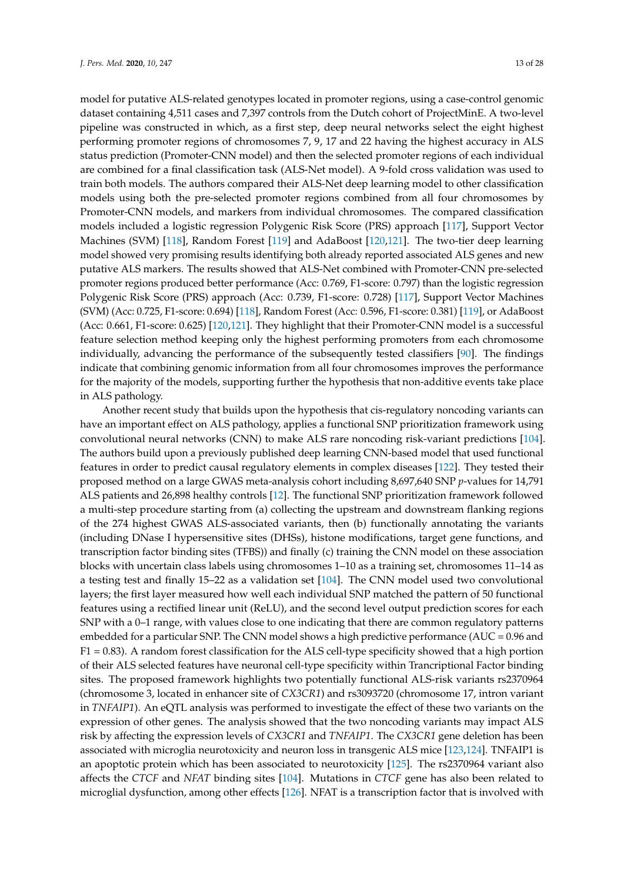model for putative ALS-related genotypes located in promoter regions, using a case-control genomic dataset containing 4,511 cases and 7,397 controls from the Dutch cohort of ProjectMinE. A two-level pipeline was constructed in which, as a first step, deep neural networks select the eight highest performing promoter regions of chromosomes 7, 9, 17 and 22 having the highest accuracy in ALS status prediction (Promoter-CNN model) and then the selected promoter regions of each individual are combined for a final classification task (ALS-Net model). A 9-fold cross validation was used to train both models. The authors compared their ALS-Net deep learning model to other classification models using both the pre-selected promoter regions combined from all four chromosomes by Promoter-CNN models, and markers from individual chromosomes. The compared classification models included a logistic regression Polygenic Risk Score (PRS) approach [\[117\]](#page-25-0), Support Vector Machines (SVM) [\[118\]](#page-25-1), Random Forest [\[119\]](#page-25-2) and AdaBoost [\[120](#page-25-3)[,121\]](#page-25-4). The two-tier deep learning model showed very promising results identifying both already reported associated ALS genes and new putative ALS markers. The results showed that ALS-Net combined with Promoter-CNN pre-selected promoter regions produced better performance (Acc: 0.769, F1-score: 0.797) than the logistic regression Polygenic Risk Score (PRS) approach (Acc: 0.739, F1-score: 0.728) [\[117\]](#page-25-0), Support Vector Machines (SVM) (Acc: 0.725, F1-score: 0.694) [\[118\]](#page-25-1), Random Forest (Acc: 0.596, F1-score: 0.381) [\[119\]](#page-25-2), or AdaBoost (Acc: 0.661, F1-score: 0.625) [\[120,](#page-25-3)[121\]](#page-25-4). They highlight that their Promoter-CNN model is a successful feature selection method keeping only the highest performing promoters from each chromosome individually, advancing the performance of the subsequently tested classifiers [\[90\]](#page-23-13). The findings indicate that combining genomic information from all four chromosomes improves the performance for the majority of the models, supporting further the hypothesis that non-additive events take place in ALS pathology.

Another recent study that builds upon the hypothesis that cis-regulatory noncoding variants can have an important effect on ALS pathology, applies a functional SNP prioritization framework using convolutional neural networks (CNN) to make ALS rare noncoding risk-variant predictions [\[104\]](#page-24-8). The authors build upon a previously published deep learning CNN-based model that used functional features in order to predict causal regulatory elements in complex diseases [\[122\]](#page-25-5). They tested their proposed method on a large GWAS meta-analysis cohort including 8,697,640 SNP *p*-values for 14,791 ALS patients and 26,898 healthy controls [\[12\]](#page-19-14). The functional SNP prioritization framework followed a multi-step procedure starting from (a) collecting the upstream and downstream flanking regions of the 274 highest GWAS ALS-associated variants, then (b) functionally annotating the variants (including DNase I hypersensitive sites (DHSs), histone modifications, target gene functions, and transcription factor binding sites (TFBS)) and finally (c) training the CNN model on these association blocks with uncertain class labels using chromosomes 1–10 as a training set, chromosomes 11–14 as a testing test and finally 15–22 as a validation set [\[104\]](#page-24-8). The CNN model used two convolutional layers; the first layer measured how well each individual SNP matched the pattern of 50 functional features using a rectified linear unit (ReLU), and the second level output prediction scores for each SNP with a 0–1 range, with values close to one indicating that there are common regulatory patterns embedded for a particular SNP. The CNN model shows a high predictive performance (AUC = 0.96 and F1 = 0.83). A random forest classification for the ALS cell-type specificity showed that a high portion of their ALS selected features have neuronal cell-type specificity within Trancriptional Factor binding sites. The proposed framework highlights two potentially functional ALS-risk variants rs2370964 (chromosome 3, located in enhancer site of *CX3CR1*) and rs3093720 (chromosome 17, intron variant in *TNFAIP1*). An eQTL analysis was performed to investigate the effect of these two variants on the expression of other genes. The analysis showed that the two noncoding variants may impact ALS risk by affecting the expression levels of *CX3CR1* and *TNFAIP1*. The *CX3CR1* gene deletion has been associated with microglia neurotoxicity and neuron loss in transgenic ALS mice [\[123](#page-25-6)[,124\]](#page-25-7). TNFAIP1 is an apoptotic protein which has been associated to neurotoxicity [\[125\]](#page-25-8). The rs2370964 variant also affects the *CTCF* and *NFAT* binding sites [\[104\]](#page-24-8). Mutations in *CTCF* gene has also been related to microglial dysfunction, among other effects [\[126\]](#page-25-9). NFAT is a transcription factor that is involved with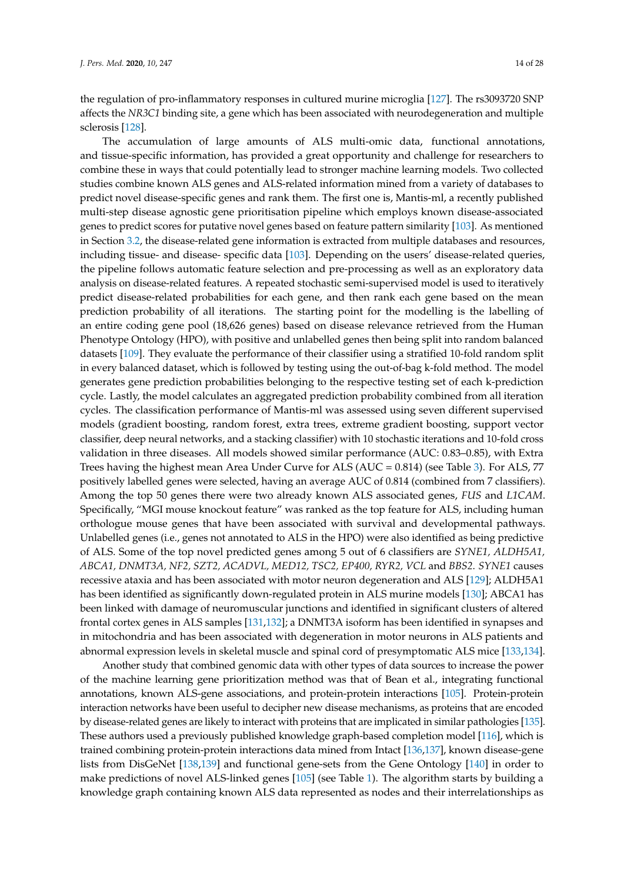the regulation of pro-inflammatory responses in cultured murine microglia [\[127\]](#page-25-10). The rs3093720 SNP affects the *NR3C1* binding site, a gene which has been associated with neurodegeneration and multiple sclerosis [\[128\]](#page-25-11).

The accumulation of large amounts of ALS multi-omic data, functional annotations, and tissue-specific information, has provided a great opportunity and challenge for researchers to combine these in ways that could potentially lead to stronger machine learning models. Two collected studies combine known ALS genes and ALS-related information mined from a variety of databases to predict novel disease-specific genes and rank them. The first one is, Mantis-ml, a recently published multi-step disease agnostic gene prioritisation pipeline which employs known disease-associated genes to predict scores for putative novel genes based on feature pattern similarity [\[103\]](#page-24-7). As mentioned in Section [3.2,](#page-7-0) the disease-related gene information is extracted from multiple databases and resources, including tissue- and disease- specific data [\[103\]](#page-24-7). Depending on the users' disease-related queries, the pipeline follows automatic feature selection and pre-processing as well as an exploratory data analysis on disease-related features. A repeated stochastic semi-supervised model is used to iteratively predict disease-related probabilities for each gene, and then rank each gene based on the mean prediction probability of all iterations. The starting point for the modelling is the labelling of an entire coding gene pool (18,626 genes) based on disease relevance retrieved from the Human Phenotype Ontology (HPO), with positive and unlabelled genes then being split into random balanced datasets [\[109\]](#page-24-13). They evaluate the performance of their classifier using a stratified 10-fold random split in every balanced dataset, which is followed by testing using the out-of-bag k-fold method. The model generates gene prediction probabilities belonging to the respective testing set of each k-prediction cycle. Lastly, the model calculates an aggregated prediction probability combined from all iteration cycles. The classification performance of Mantis-ml was assessed using seven different supervised models (gradient boosting, random forest, extra trees, extreme gradient boosting, support vector classifier, deep neural networks, and a stacking classifier) with 10 stochastic iterations and 10-fold cross validation in three diseases. All models showed similar performance (AUC: 0.83–0.85), with Extra Trees having the highest mean Area Under Curve for ALS (AUC = 0.814) (see Table [3\)](#page-11-0). For ALS, 77 positively labelled genes were selected, having an average AUC of 0.814 (combined from 7 classifiers). Among the top 50 genes there were two already known ALS associated genes, *FUS* and *L1CAM*. Specifically, "MGI mouse knockout feature" was ranked as the top feature for ALS, including human orthologue mouse genes that have been associated with survival and developmental pathways. Unlabelled genes (i.e., genes not annotated to ALS in the HPO) were also identified as being predictive of ALS. Some of the top novel predicted genes among 5 out of 6 classifiers are *SYNE1, ALDH5A1, ABCA1, DNMT3A, NF2, SZT2, ACADVL, MED12, TSC2, EP400, RYR2, VCL* and *BBS2*. *SYNE1* causes recessive ataxia and has been associated with motor neuron degeneration and ALS [\[129\]](#page-25-12); ALDH5A1 has been identified as significantly down-regulated protein in ALS murine models [\[130\]](#page-25-13); ABCA1 has been linked with damage of neuromuscular junctions and identified in significant clusters of altered frontal cortex genes in ALS samples [\[131](#page-25-14)[,132\]](#page-25-15); a DNMT3A isoform has been identified in synapses and in mitochondria and has been associated with degeneration in motor neurons in ALS patients and abnormal expression levels in skeletal muscle and spinal cord of presymptomatic ALS mice [\[133,](#page-25-16)[134\]](#page-25-17).

Another study that combined genomic data with other types of data sources to increase the power of the machine learning gene prioritization method was that of Bean et al., integrating functional annotations, known ALS-gene associations, and protein-protein interactions [\[105\]](#page-24-9). Protein-protein interaction networks have been useful to decipher new disease mechanisms, as proteins that are encoded by disease-related genes are likely to interact with proteins that are implicated in similar pathologies [\[135\]](#page-25-18). These authors used a previously published knowledge graph-based completion model [\[116\]](#page-24-19), which is trained combining protein-protein interactions data mined from Intact [\[136](#page-25-19)[,137\]](#page-26-0), known disease-gene lists from DisGeNet [\[138](#page-26-1)[,139\]](#page-26-2) and functional gene-sets from the Gene Ontology [\[140\]](#page-26-3) in order to make predictions of novel ALS-linked genes [\[105\]](#page-24-9) (see Table [1\)](#page-8-0). The algorithm starts by building a knowledge graph containing known ALS data represented as nodes and their interrelationships as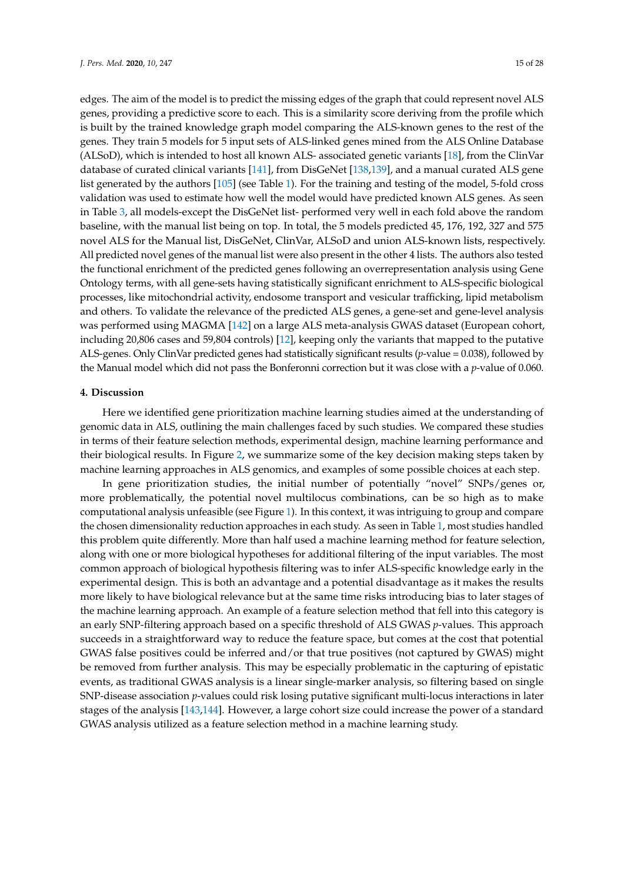edges. The aim of the model is to predict the missing edges of the graph that could represent novel ALS genes, providing a predictive score to each. This is a similarity score deriving from the profile which is built by the trained knowledge graph model comparing the ALS-known genes to the rest of the genes. They train 5 models for 5 input sets of ALS-linked genes mined from the ALS Online Database (ALSoD), which is intended to host all known ALS- associated genetic variants [\[18\]](#page-20-1), from the ClinVar database of curated clinical variants [\[141\]](#page-26-4), from DisGeNet [\[138,](#page-26-1)[139\]](#page-26-2), and a manual curated ALS gene list generated by the authors [\[105\]](#page-24-9) (see Table [1\)](#page-8-0). For the training and testing of the model, 5-fold cross validation was used to estimate how well the model would have predicted known ALS genes. As seen in Table [3,](#page-11-0) all models-except the DisGeNet list- performed very well in each fold above the random baseline, with the manual list being on top. In total, the 5 models predicted 45, 176, 192, 327 and 575 novel ALS for the Manual list, DisGeNet, ClinVar, ALSoD and union ALS-known lists, respectively. All predicted novel genes of the manual list were also present in the other 4 lists. The authors also tested the functional enrichment of the predicted genes following an overrepresentation analysis using Gene Ontology terms, with all gene-sets having statistically significant enrichment to ALS-specific biological processes, like mitochondrial activity, endosome transport and vesicular trafficking, lipid metabolism and others. To validate the relevance of the predicted ALS genes, a gene-set and gene-level analysis was performed using MAGMA [\[142\]](#page-26-5) on a large ALS meta-analysis GWAS dataset (European cohort, including 20,806 cases and 59,804 controls) [\[12\]](#page-19-14), keeping only the variants that mapped to the putative ALS-genes. Only ClinVar predicted genes had statistically significant results (*p*-value = 0.038), followed by the Manual model which did not pass the Bonferonni correction but it was close with a *p*-value of 0.060.

#### **4. Discussion**

Here we identified gene prioritization machine learning studies aimed at the understanding of genomic data in ALS, outlining the main challenges faced by such studies. We compared these studies in terms of their feature selection methods, experimental design, machine learning performance and their biological results. In Figure [2,](#page-15-0) we summarize some of the key decision making steps taken by machine learning approaches in ALS genomics, and examples of some possible choices at each step.

In gene prioritization studies, the initial number of potentially "novel" SNPs/genes or, more problematically, the potential novel multilocus combinations, can be so high as to make computational analysis unfeasible (see Figure [1\)](#page-6-0). In this context, it was intriguing to group and compare the chosen dimensionality reduction approaches in each study. As seen in Table [1,](#page-8-0) most studies handled this problem quite differently. More than half used a machine learning method for feature selection, along with one or more biological hypotheses for additional filtering of the input variables. The most common approach of biological hypothesis filtering was to infer ALS-specific knowledge early in the experimental design. This is both an advantage and a potential disadvantage as it makes the results more likely to have biological relevance but at the same time risks introducing bias to later stages of the machine learning approach. An example of a feature selection method that fell into this category is an early SNP-filtering approach based on a specific threshold of ALS GWAS *p*-values. This approach succeeds in a straightforward way to reduce the feature space, but comes at the cost that potential GWAS false positives could be inferred and/or that true positives (not captured by GWAS) might be removed from further analysis. This may be especially problematic in the capturing of epistatic events, as traditional GWAS analysis is a linear single-marker analysis, so filtering based on single SNP-disease association *p*-values could risk losing putative significant multi-locus interactions in later stages of the analysis [\[143](#page-26-6)[,144\]](#page-26-7). However, a large cohort size could increase the power of a standard GWAS analysis utilized as a feature selection method in a machine learning study.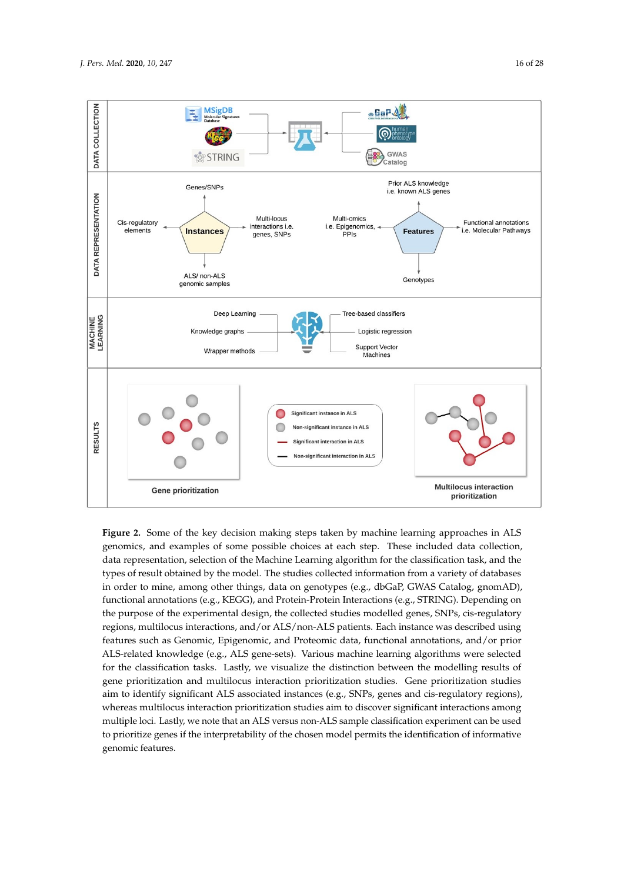<span id="page-15-0"></span>

**Figure 2.** Some of the key decision making steps taken by machine learning approaches in ALS genomics, and examples of some possible choices at each step. These included data collection, data representation, selection of the Machine Learning algorithm for the classification task, and the types of result obtained by the model. The studies collected information from a variety of databases in order to mine, among other things, data on genotypes (e.g., dbGaP, GWAS Catalog, gnomAD), functional annotations (e.g., KEGG), and Protein-Protein Interactions (e.g., STRING). Depending on the purpose of the experimental design, the collected studies modelled genes, SNPs, cis-regulatory regions, multilocus interactions, and/or ALS/non-ALS patients. Each instance was described using features such as Genomic, Epigenomic, and Proteomic data, functional annotations, and/or prior ALS-related knowledge (e.g., ALS gene-sets). Various machine learning algorithms were selected for the classification tasks. Lastly, we visualize the distinction between the modelling results of gene prioritization and multilocus interaction prioritization studies. Gene prioritization studies aim to identify significant ALS associated instances (e.g., SNPs, genes and cis-regulatory regions), whereas multilocus interaction prioritization studies aim to discover significant interactions among multiple loci. Lastly, we note that an ALS versus non-ALS sample classification experiment can be used to prioritize genes if the interpretability of the chosen model permits the identification of informative genomic features.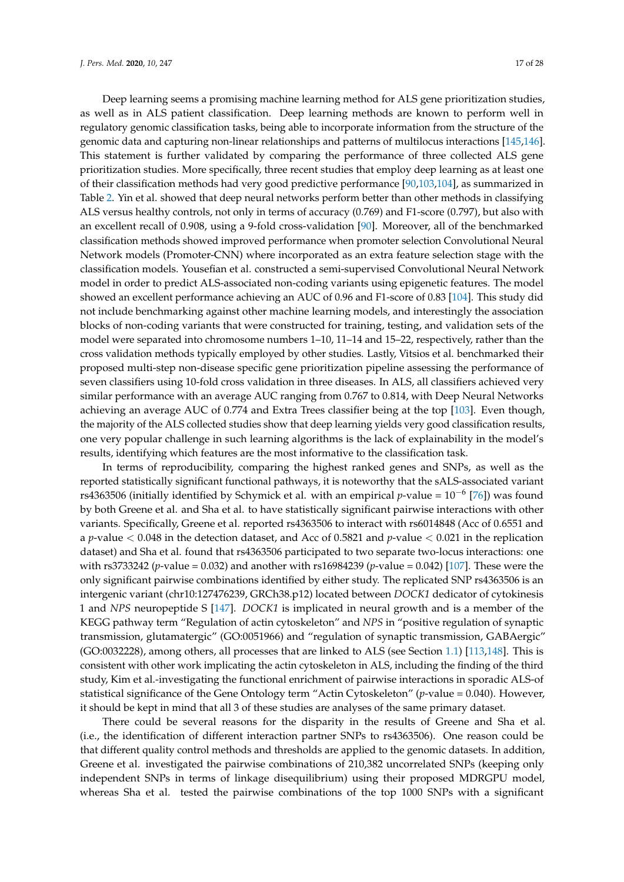Deep learning seems a promising machine learning method for ALS gene prioritization studies, as well as in ALS patient classification. Deep learning methods are known to perform well in regulatory genomic classification tasks, being able to incorporate information from the structure of the genomic data and capturing non-linear relationships and patterns of multilocus interactions [\[145](#page-26-8)[,146\]](#page-26-9). This statement is further validated by comparing the performance of three collected ALS gene prioritization studies. More specifically, three recent studies that employ deep learning as at least one of their classification methods had very good predictive performance [\[90,](#page-23-13)[103](#page-24-7)[,104\]](#page-24-8), as summarized in Table [2.](#page-9-0) Yin et al. showed that deep neural networks perform better than other methods in classifying ALS versus healthy controls, not only in terms of accuracy (0.769) and F1-score (0.797), but also with an excellent recall of 0.908, using a 9-fold cross-validation [\[90\]](#page-23-13). Moreover, all of the benchmarked classification methods showed improved performance when promoter selection Convolutional Neural Network models (Promoter-CNN) where incorporated as an extra feature selection stage with the classification models. Yousefian et al. constructed a semi-supervised Convolutional Neural Network model in order to predict ALS-associated non-coding variants using epigenetic features. The model showed an excellent performance achieving an AUC of 0.96 and F1-score of 0.83 [\[104\]](#page-24-8). This study did not include benchmarking against other machine learning models, and interestingly the association blocks of non-coding variants that were constructed for training, testing, and validation sets of the model were separated into chromosome numbers 1–10, 11–14 and 15–22, respectively, rather than the cross validation methods typically employed by other studies. Lastly, Vitsios et al. benchmarked their proposed multi-step non-disease specific gene prioritization pipeline assessing the performance of seven classifiers using 10-fold cross validation in three diseases. In ALS, all classifiers achieved very similar performance with an average AUC ranging from 0.767 to 0.814, with Deep Neural Networks achieving an average AUC of 0.774 and Extra Trees classifier being at the top [\[103\]](#page-24-7). Even though, the majority of the ALS collected studies show that deep learning yields very good classification results, one very popular challenge in such learning algorithms is the lack of explainability in the model's results, identifying which features are the most informative to the classification task.

In terms of reproducibility, comparing the highest ranked genes and SNPs, as well as the reported statistically significant functional pathways, it is noteworthy that the sALS-associated variant rs4363506 (initially identified by Schymick et al. with an empirical *p*-value = 10−<sup>6</sup> [\[76\]](#page-23-1)) was found by both Greene et al. and Sha et al. to have statistically significant pairwise interactions with other variants. Specifically, Greene et al. reported rs4363506 to interact with rs6014848 (Acc of 0.6551 and a *p*-value < 0.048 in the detection dataset, and Acc of 0.5821 and *p*-value < 0.021 in the replication dataset) and Sha et al. found that rs4363506 participated to two separate two-locus interactions: one with rs3733242 (*p*-value = 0.032) and another with rs16984239 (*p*-value = 0.042) [\[107\]](#page-24-11). These were the only significant pairwise combinations identified by either study. The replicated SNP rs4363506 is an intergenic variant (chr10:127476239, GRCh38.p12) located between *DOCK1* dedicator of cytokinesis 1 and *NPS* neuropeptide S [\[147\]](#page-26-10). *DOCK1* is implicated in neural growth and is a member of the KEGG pathway term "Regulation of actin cytoskeleton" and *NPS* in "positive regulation of synaptic transmission, glutamatergic" (GO:0051966) and "regulation of synaptic transmission, GABAergic" (GO:0032228), among others, all processes that are linked to ALS (see Section [1.1\)](#page-1-0) [\[113](#page-24-17)[,148\]](#page-26-11). This is consistent with other work implicating the actin cytoskeleton in ALS, including the finding of the third study, Kim et al.-investigating the functional enrichment of pairwise interactions in sporadic ALS-of statistical significance of the Gene Ontology term "Actin Cytoskeleton" (*p*-value = 0.040). However, it should be kept in mind that all 3 of these studies are analyses of the same primary dataset.

There could be several reasons for the disparity in the results of Greene and Sha et al. (i.e., the identification of different interaction partner SNPs to rs4363506). One reason could be that different quality control methods and thresholds are applied to the genomic datasets. In addition, Greene et al. investigated the pairwise combinations of 210,382 uncorrelated SNPs (keeping only independent SNPs in terms of linkage disequilibrium) using their proposed MDRGPU model, whereas Sha et al. tested the pairwise combinations of the top 1000 SNPs with a significant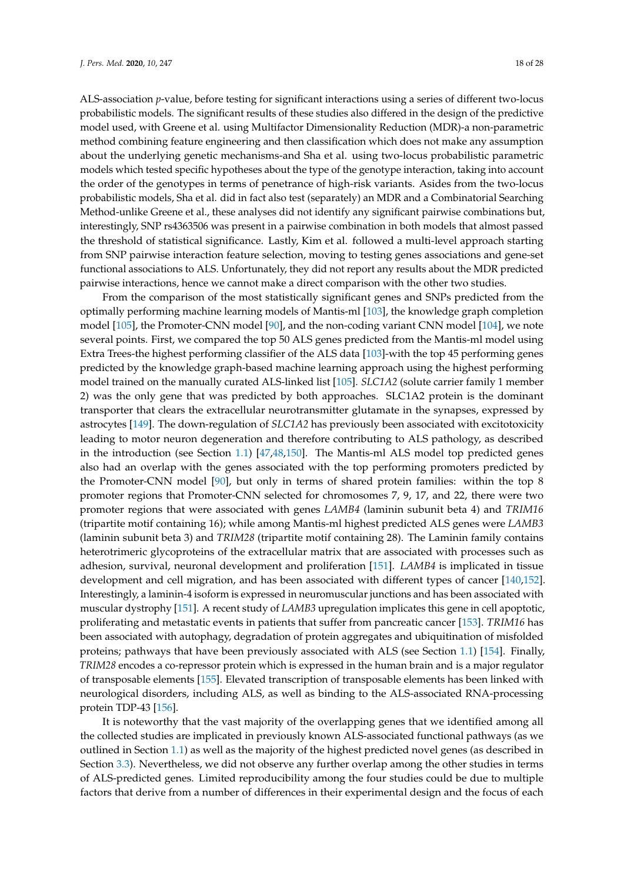ALS-association *p*-value, before testing for significant interactions using a series of different two-locus probabilistic models. The significant results of these studies also differed in the design of the predictive model used, with Greene et al. using Multifactor Dimensionality Reduction (MDR)-a non-parametric method combining feature engineering and then classification which does not make any assumption about the underlying genetic mechanisms-and Sha et al. using two-locus probabilistic parametric models which tested specific hypotheses about the type of the genotype interaction, taking into account the order of the genotypes in terms of penetrance of high-risk variants. Asides from the two-locus probabilistic models, Sha et al. did in fact also test (separately) an MDR and a Combinatorial Searching Method-unlike Greene et al., these analyses did not identify any significant pairwise combinations but, interestingly, SNP rs4363506 was present in a pairwise combination in both models that almost passed the threshold of statistical significance. Lastly, Kim et al. followed a multi-level approach starting from SNP pairwise interaction feature selection, moving to testing genes associations and gene-set functional associations to ALS. Unfortunately, they did not report any results about the MDR predicted pairwise interactions, hence we cannot make a direct comparison with the other two studies.

From the comparison of the most statistically significant genes and SNPs predicted from the optimally performing machine learning models of Mantis-ml [\[103\]](#page-24-7), the knowledge graph completion model [\[105\]](#page-24-9), the Promoter-CNN model [\[90\]](#page-23-13), and the non-coding variant CNN model [\[104\]](#page-24-8), we note several points. First, we compared the top 50 ALS genes predicted from the Mantis-ml model using Extra Trees-the highest performing classifier of the ALS data [\[103\]](#page-24-7)-with the top 45 performing genes predicted by the knowledge graph-based machine learning approach using the highest performing model trained on the manually curated ALS-linked list [\[105\]](#page-24-9). *SLC1A2* (solute carrier family 1 member 2) was the only gene that was predicted by both approaches. SLC1A2 protein is the dominant transporter that clears the extracellular neurotransmitter glutamate in the synapses, expressed by astrocytes [\[149\]](#page-26-12). The down-regulation of *SLC1A2* has previously been associated with excitotoxicity leading to motor neuron degeneration and therefore contributing to ALS pathology, as described in the introduction (see Section [1.1\)](#page-1-0) [\[47](#page-21-11)[,48](#page-21-14)[,150\]](#page-26-13). The Mantis-ml ALS model top predicted genes also had an overlap with the genes associated with the top performing promoters predicted by the Promoter-CNN model [\[90\]](#page-23-13), but only in terms of shared protein families: within the top 8 promoter regions that Promoter-CNN selected for chromosomes 7, 9, 17, and 22, there were two promoter regions that were associated with genes *LAMB4* (laminin subunit beta 4) and *TRIM16* (tripartite motif containing 16); while among Mantis-ml highest predicted ALS genes were *LAMB3* (laminin subunit beta 3) and *TRIM28* (tripartite motif containing 28). The Laminin family contains heterotrimeric glycoproteins of the extracellular matrix that are associated with processes such as adhesion, survival, neuronal development and proliferation [\[151\]](#page-26-14). *LAMB4* is implicated in tissue development and cell migration, and has been associated with different types of cancer [\[140,](#page-26-3)[152\]](#page-26-15). Interestingly, a laminin-4 isoform is expressed in neuromuscular junctions and has been associated with muscular dystrophy [\[151\]](#page-26-14). A recent study of *LAMB3* upregulation implicates this gene in cell apoptotic, proliferating and metastatic events in patients that suffer from pancreatic cancer [\[153\]](#page-26-16). *TRIM16* has been associated with autophagy, degradation of protein aggregates and ubiquitination of misfolded proteins; pathways that have been previously associated with ALS (see Section [1.1\)](#page-1-0) [\[154\]](#page-26-17). Finally, *TRIM28* encodes a co-repressor protein which is expressed in the human brain and is a major regulator of transposable elements [\[155\]](#page-26-18). Elevated transcription of transposable elements has been linked with neurological disorders, including ALS, as well as binding to the ALS-associated RNA-processing protein TDP-43 [\[156\]](#page-26-19).

It is noteworthy that the vast majority of the overlapping genes that we identified among all the collected studies are implicated in previously known ALS-associated functional pathways (as we outlined in Section [1.1\)](#page-1-0) as well as the majority of the highest predicted novel genes (as described in Section [3.3\)](#page-10-0). Nevertheless, we did not observe any further overlap among the other studies in terms of ALS-predicted genes. Limited reproducibility among the four studies could be due to multiple factors that derive from a number of differences in their experimental design and the focus of each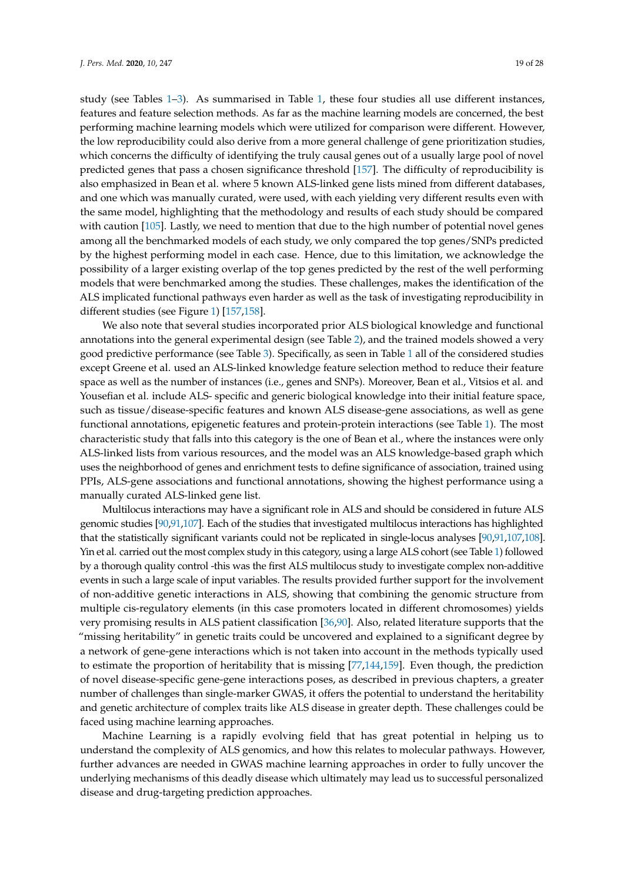study (see Tables [1](#page-8-0)[–3\)](#page-11-0). As summarised in Table [1,](#page-8-0) these four studies all use different instances, features and feature selection methods. As far as the machine learning models are concerned, the best performing machine learning models which were utilized for comparison were different. However, the low reproducibility could also derive from a more general challenge of gene prioritization studies, which concerns the difficulty of identifying the truly causal genes out of a usually large pool of novel predicted genes that pass a chosen significance threshold [\[157\]](#page-26-20). The difficulty of reproducibility is also emphasized in Bean et al. where 5 known ALS-linked gene lists mined from different databases, and one which was manually curated, were used, with each yielding very different results even with the same model, highlighting that the methodology and results of each study should be compared with caution [\[105\]](#page-24-9). Lastly, we need to mention that due to the high number of potential novel genes among all the benchmarked models of each study, we only compared the top genes/SNPs predicted by the highest performing model in each case. Hence, due to this limitation, we acknowledge the possibility of a larger existing overlap of the top genes predicted by the rest of the well performing models that were benchmarked among the studies. These challenges, makes the identification of the ALS implicated functional pathways even harder as well as the task of investigating reproducibility in different studies (see Figure [1\)](#page-6-0) [\[157](#page-26-20)[,158\]](#page-27-0).

We also note that several studies incorporated prior ALS biological knowledge and functional annotations into the general experimental design (see Table [2\)](#page-9-0), and the trained models showed a very good predictive performance (see Table [3\)](#page-11-0). Specifically, as seen in Table [1](#page-8-0) all of the considered studies except Greene et al. used an ALS-linked knowledge feature selection method to reduce their feature space as well as the number of instances (i.e., genes and SNPs). Moreover, Bean et al., Vitsios et al. and Yousefian et al. include ALS- specific and generic biological knowledge into their initial feature space, such as tissue/disease-specific features and known ALS disease-gene associations, as well as gene functional annotations, epigenetic features and protein-protein interactions (see Table [1\)](#page-8-0). The most characteristic study that falls into this category is the one of Bean et al., where the instances were only ALS-linked lists from various resources, and the model was an ALS knowledge-based graph which uses the neighborhood of genes and enrichment tests to define significance of association, trained using PPIs, ALS-gene associations and functional annotations, showing the highest performance using a manually curated ALS-linked gene list.

Multilocus interactions may have a significant role in ALS and should be considered in future ALS genomic studies [\[90,](#page-23-13)[91,](#page-23-14)[107\]](#page-24-11). Each of the studies that investigated multilocus interactions has highlighted that the statistically significant variants could not be replicated in single-locus analyses [\[90,](#page-23-13)[91](#page-23-14)[,107,](#page-24-11)[108\]](#page-24-12). Yin et al. carried out the most complex study in this category, using a large ALS cohort (see Table [1\)](#page-8-0) followed by a thorough quality control -this was the first ALS multilocus study to investigate complex non-additive events in such a large scale of input variables. The results provided further support for the involvement of non-additive genetic interactions in ALS, showing that combining the genomic structure from multiple cis-regulatory elements (in this case promoters located in different chromosomes) yields very promising results in ALS patient classification [\[36](#page-21-0)[,90\]](#page-23-13). Also, related literature supports that the "missing heritability" in genetic traits could be uncovered and explained to a significant degree by a network of gene-gene interactions which is not taken into account in the methods typically used to estimate the proportion of heritability that is missing [\[77,](#page-23-2)[144,](#page-26-7)[159\]](#page-27-1). Even though, the prediction of novel disease-specific gene-gene interactions poses, as described in previous chapters, a greater number of challenges than single-marker GWAS, it offers the potential to understand the heritability and genetic architecture of complex traits like ALS disease in greater depth. These challenges could be faced using machine learning approaches.

Machine Learning is a rapidly evolving field that has great potential in helping us to understand the complexity of ALS genomics, and how this relates to molecular pathways. However, further advances are needed in GWAS machine learning approaches in order to fully uncover the underlying mechanisms of this deadly disease which ultimately may lead us to successful personalized disease and drug-targeting prediction approaches.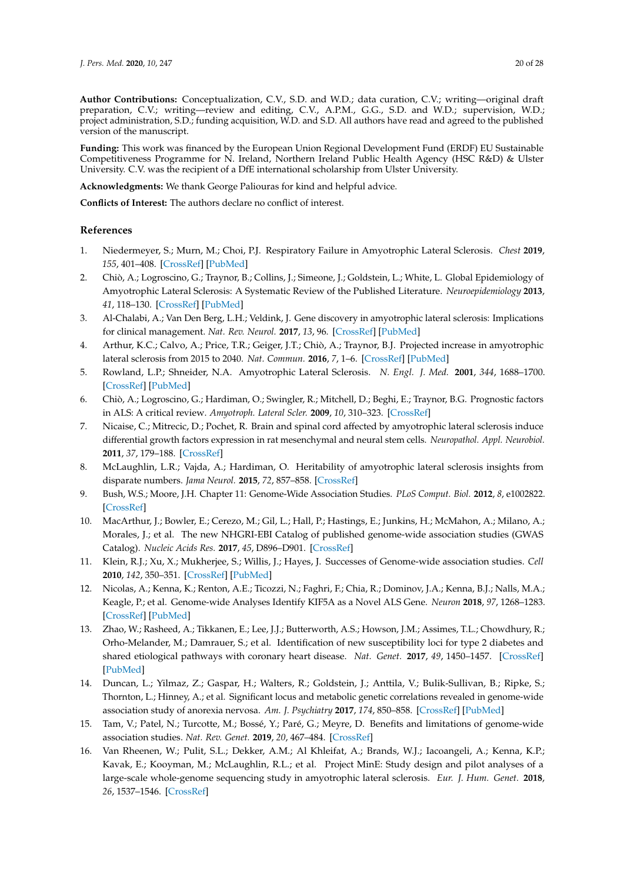**Author Contributions:** Conceptualization, C.V., S.D. and W.D.; data curation, C.V.; writing—original draft preparation, C.V.; writing—review and editing, C.V., A.P.M., G.G., S.D. and W.D.; supervision, W.D.; project administration, S.D.; funding acquisition, W.D. and S.D. All authors have read and agreed to the published version of the manuscript.

**Funding:** This work was financed by the European Union Regional Development Fund (ERDF) EU Sustainable Competitiveness Programme for N. Ireland, Northern Ireland Public Health Agency (HSC R&D) & Ulster University. C.V. was the recipient of a DfE international scholarship from Ulster University.

**Acknowledgments:** We thank George Paliouras for kind and helpful advice.

**Conflicts of Interest:** The authors declare no conflict of interest.

## **References**

- <span id="page-19-0"></span>1. Niedermeyer, S.; Murn, M.; Choi, P.J. Respiratory Failure in Amyotrophic Lateral Sclerosis. *Chest* **2019**, *155*, 401–408. [\[CrossRef\]](http://dx.doi.org/10.1016/j.chest.2018.06.035) [\[PubMed\]](http://www.ncbi.nlm.nih.gov/pubmed/29990478)
- <span id="page-19-2"></span>2. Chiò, A.; Logroscino, G.; Traynor, B.; Collins, J.; Simeone, J.; Goldstein, L.; White, L. Global Epidemiology of Amyotrophic Lateral Sclerosis: A Systematic Review of the Published Literature. *Neuroepidemiology* **2013**, *41*, 118–130. [\[CrossRef\]](http://dx.doi.org/10.1159/000351153) [\[PubMed\]](http://www.ncbi.nlm.nih.gov/pubmed/23860588)
- <span id="page-19-1"></span>3. Al-Chalabi, A.; Van Den Berg, L.H.; Veldink, J. Gene discovery in amyotrophic lateral sclerosis: Implications for clinical management. *Nat. Rev. Neurol.* **2017**, *13*, 96. [\[CrossRef\]](http://dx.doi.org/10.1038/nrneurol.2016.182) [\[PubMed\]](http://www.ncbi.nlm.nih.gov/pubmed/27982040)
- <span id="page-19-5"></span>4. Arthur, K.C.; Calvo, A.; Price, T.R.; Geiger, J.T.; Chiò, A.; Traynor, B.J. Projected increase in amyotrophic lateral sclerosis from 2015 to 2040. *Nat. Commun.* **2016**, *7*, 1–6. [\[CrossRef\]](http://dx.doi.org/10.1038/ncomms12408) [\[PubMed\]](http://www.ncbi.nlm.nih.gov/pubmed/27510634)
- <span id="page-19-3"></span>5. Rowland, L.P.; Shneider, N.A. Amyotrophic Lateral Sclerosis. *N. Engl. J. Med.* **2001**, *344*, 1688–1700. [\[CrossRef\]](http://dx.doi.org/10.1056/NEJM200105313442207) [\[PubMed\]](http://www.ncbi.nlm.nih.gov/pubmed/11386269)
- <span id="page-19-4"></span>6. Chiò, A.; Logroscino, G.; Hardiman, O.; Swingler, R.; Mitchell, D.; Beghi, E.; Traynor, B.G. Prognostic factors in ALS: A critical review. *Amyotroph. Lateral Scler.* **2009**, *10*, 310–323. [\[CrossRef\]](http://dx.doi.org/10.3109/17482960802566824)
- <span id="page-19-6"></span>7. Nicaise, C.; Mitrecic, D.; Pochet, R. Brain and spinal cord affected by amyotrophic lateral sclerosis induce differential growth factors expression in rat mesenchymal and neural stem cells. *Neuropathol. Appl. Neurobiol.* **2011**, *37*, 179–188. [\[CrossRef\]](http://dx.doi.org/10.1111/j.1365-2990.2010.01124.x)
- <span id="page-19-7"></span>8. McLaughlin, L.R.; Vajda, A.; Hardiman, O. Heritability of amyotrophic lateral sclerosis insights from disparate numbers. *Jama Neurol.* **2015**, *72*, 857–858. [\[CrossRef\]](http://dx.doi.org/10.1001/jamaneurol.2014.4049)
- <span id="page-19-8"></span>9. Bush, W.S.; Moore, J.H. Chapter 11: Genome-Wide Association Studies. *PLoS Comput. Biol.* **2012**, *8*, e1002822. [\[CrossRef\]](http://dx.doi.org/10.1371/journal.pcbi.1002822)
- <span id="page-19-9"></span>10. MacArthur, J.; Bowler, E.; Cerezo, M.; Gil, L.; Hall, P.; Hastings, E.; Junkins, H.; McMahon, A.; Milano, A.; Morales, J.; et al. The new NHGRI-EBI Catalog of published genome-wide association studies (GWAS Catalog). *Nucleic Acids Res.* **2017**, *45*, D896–D901. [\[CrossRef\]](http://dx.doi.org/10.1093/nar/gkw1133)
- <span id="page-19-11"></span>11. Klein, R.J.; Xu, X.; Mukherjee, S.; Willis, J.; Hayes, J. Successes of Genome-wide association studies. *Cell* **2010**, *142*, 350–351. [\[CrossRef\]](http://dx.doi.org/10.1016/j.cell.2010.07.026) [\[PubMed\]](http://www.ncbi.nlm.nih.gov/pubmed/20691890)
- <span id="page-19-14"></span>12. Nicolas, A.; Kenna, K.; Renton, A.E.; Ticozzi, N.; Faghri, F.; Chia, R.; Dominov, J.A.; Kenna, B.J.; Nalls, M.A.; Keagle, P.; et al. Genome-wide Analyses Identify KIF5A as a Novel ALS Gene. *Neuron* **2018**, *97*, 1268–1283. [\[CrossRef\]](http://dx.doi.org/10.1016/j.neuron.2018.02.027) [\[PubMed\]](http://www.ncbi.nlm.nih.gov/pubmed/29566793)
- <span id="page-19-10"></span>13. Zhao, W.; Rasheed, A.; Tikkanen, E.; Lee, J.J.; Butterworth, A.S.; Howson, J.M.; Assimes, T.L.; Chowdhury, R.; Orho-Melander, M.; Damrauer, S.; et al. Identification of new susceptibility loci for type 2 diabetes and shared etiological pathways with coronary heart disease. *Nat. Genet.* **2017**, *49*, 1450–1457. [\[CrossRef\]](http://dx.doi.org/10.1038/ng.3943) [\[PubMed\]](http://www.ncbi.nlm.nih.gov/pubmed/28869590)
- <span id="page-19-12"></span>14. Duncan, L.; Yilmaz, Z.; Gaspar, H.; Walters, R.; Goldstein, J.; Anttila, V.; Bulik-Sullivan, B.; Ripke, S.; Thornton, L.; Hinney, A.; et al. Significant locus and metabolic genetic correlations revealed in genome-wide association study of anorexia nervosa. *Am. J. Psychiatry* **2017**, *174*, 850–858. [\[CrossRef\]](http://dx.doi.org/10.1176/appi.ajp.2017.16121402) [\[PubMed\]](http://www.ncbi.nlm.nih.gov/pubmed/28494655)
- <span id="page-19-13"></span>15. Tam, V.; Patel, N.; Turcotte, M.; Bossé, Y.; Paré, G.; Meyre, D. Benefits and limitations of genome-wide association studies. *Nat. Rev. Genet.* **2019**, *20*, 467–484. [\[CrossRef\]](http://dx.doi.org/10.1038/s41576-019-0127-1)
- <span id="page-19-15"></span>16. Van Rheenen, W.; Pulit, S.L.; Dekker, A.M.; Al Khleifat, A.; Brands, W.J.; Iacoangeli, A.; Kenna, K.P.; Kavak, E.; Kooyman, M.; McLaughlin, R.L.; et al. Project MinE: Study design and pilot analyses of a large-scale whole-genome sequencing study in amyotrophic lateral sclerosis. *Eur. J. Hum. Genet.* **2018**, *26*, 1537–1546. [\[CrossRef\]](http://dx.doi.org/10.1038/s41431-018-0177-4)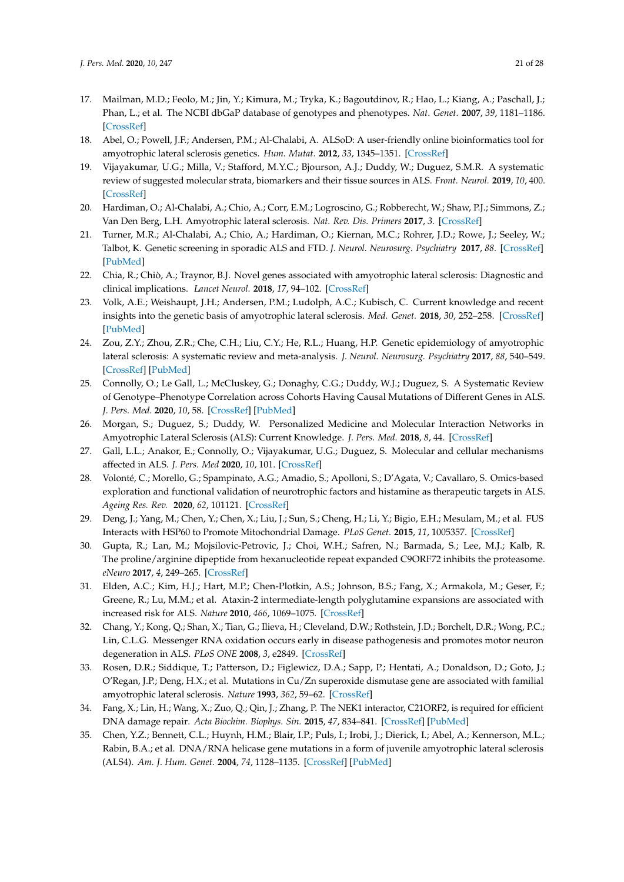- <span id="page-20-0"></span>17. Mailman, M.D.; Feolo, M.; Jin, Y.; Kimura, M.; Tryka, K.; Bagoutdinov, R.; Hao, L.; Kiang, A.; Paschall, J.; Phan, L.; et al. The NCBI dbGaP database of genotypes and phenotypes. *Nat. Genet.* **2007**, *39*, 1181–1186. [\[CrossRef\]](http://dx.doi.org/10.1038/ng1007-1181)
- <span id="page-20-1"></span>18. Abel, O.; Powell, J.F.; Andersen, P.M.; Al-Chalabi, A. ALSoD: A user-friendly online bioinformatics tool for amyotrophic lateral sclerosis genetics. *Hum. Mutat.* **2012**, *33*, 1345–1351. [\[CrossRef\]](http://dx.doi.org/10.1002/humu.22157)
- <span id="page-20-2"></span>19. Vijayakumar, U.G.; Milla, V.; Stafford, M.Y.C.; Bjourson, A.J.; Duddy, W.; Duguez, S.M.R. A systematic review of suggested molecular strata, biomarkers and their tissue sources in ALS. *Front. Neurol.* **2019**, *10*, 400. [\[CrossRef\]](http://dx.doi.org/10.3389/fneur.2019.00400)
- <span id="page-20-3"></span>20. Hardiman, O.; Al-Chalabi, A.; Chio, A.; Corr, E.M.; Logroscino, G.; Robberecht, W.; Shaw, P.J.; Simmons, Z.; Van Den Berg, L.H. Amyotrophic lateral sclerosis. *Nat. Rev. Dis. Primers* **2017**, *3*. [\[CrossRef\]](http://dx.doi.org/10.1038/nrdp.2017.71)
- <span id="page-20-4"></span>21. Turner, M.R.; Al-Chalabi, A.; Chio, A.; Hardiman, O.; Kiernan, M.C.; Rohrer, J.D.; Rowe, J.; Seeley, W.; Talbot, K. Genetic screening in sporadic ALS and FTD. *J. Neurol. Neurosurg. Psychiatry* **2017**, *88*. [\[CrossRef\]](http://dx.doi.org/10.1136/jnnp-2017-315995) [\[PubMed\]](http://www.ncbi.nlm.nih.gov/pubmed/28642287)
- <span id="page-20-11"></span>22. Chia, R.; Chiò, A.; Traynor, B.J. Novel genes associated with amyotrophic lateral sclerosis: Diagnostic and clinical implications. *Lancet Neurol.* **2018**, *17*, 94–102. [\[CrossRef\]](http://dx.doi.org/10.1016/S1474-4422(17)30401-5)
- <span id="page-20-5"></span>23. Volk, A.E.; Weishaupt, J.H.; Andersen, P.M.; Ludolph, A.C.; Kubisch, C. Current knowledge and recent insights into the genetic basis of amyotrophic lateral sclerosis. *Med. Genet.* **2018**, *30*, 252–258. [\[CrossRef\]](http://dx.doi.org/10.1007/s11825-018-0185-3) [\[PubMed\]](http://www.ncbi.nlm.nih.gov/pubmed/30220791)
- <span id="page-20-6"></span>24. Zou, Z.Y.; Zhou, Z.R.; Che, C.H.; Liu, C.Y.; He, R.L.; Huang, H.P. Genetic epidemiology of amyotrophic lateral sclerosis: A systematic review and meta-analysis. *J. Neurol. Neurosurg. Psychiatry* **2017**, *88*, 540–549. [\[CrossRef\]](http://dx.doi.org/10.1136/jnnp-2016-315018) [\[PubMed\]](http://www.ncbi.nlm.nih.gov/pubmed/28057713)
- <span id="page-20-7"></span>25. Connolly, O.; Le Gall, L.; McCluskey, G.; Donaghy, C.G.; Duddy, W.J.; Duguez, S. A Systematic Review of Genotype–Phenotype Correlation across Cohorts Having Causal Mutations of Different Genes in ALS. *J. Pers. Med.* **2020**, *10*, 58. [\[CrossRef\]](http://dx.doi.org/10.3390/jpm10030058) [\[PubMed\]](http://www.ncbi.nlm.nih.gov/pubmed/32610599)
- <span id="page-20-8"></span>26. Morgan, S.; Duguez, S.; Duddy, W. Personalized Medicine and Molecular Interaction Networks in Amyotrophic Lateral Sclerosis (ALS): Current Knowledge. *J. Pers. Med.* **2018**, *8*, 44. [\[CrossRef\]](http://dx.doi.org/10.3390/jpm8040044)
- <span id="page-20-10"></span>27. Gall, L.L.; Anakor, E.; Connolly, O.; Vijayakumar, U.G.; Duguez, S. Molecular and cellular mechanisms affected in ALS. *J. Pers. Med* **2020**, *10*, 101. [\[CrossRef\]](http://dx.doi.org/10.3390/jpm10030101)
- <span id="page-20-9"></span>28. Volonté, C.; Morello, G.; Spampinato, A.G.; Amadio, S.; Apolloni, S.; D'Agata, V.; Cavallaro, S. Omics-based exploration and functional validation of neurotrophic factors and histamine as therapeutic targets in ALS. *Ageing Res. Rev.* **2020**, *62*, 101121. [\[CrossRef\]](http://dx.doi.org/10.1016/j.arr.2020.101121)
- <span id="page-20-12"></span>29. Deng, J.; Yang, M.; Chen, Y.; Chen, X.; Liu, J.; Sun, S.; Cheng, H.; Li, Y.; Bigio, E.H.; Mesulam, M.; et al. FUS Interacts with HSP60 to Promote Mitochondrial Damage. *PLoS Genet.* **2015**, *11*, 1005357. [\[CrossRef\]](http://dx.doi.org/10.1371/journal.pgen.1005357)
- <span id="page-20-13"></span>30. Gupta, R.; Lan, M.; Mojsilovic-Petrovic, J.; Choi, W.H.; Safren, N.; Barmada, S.; Lee, M.J.; Kalb, R. The proline/arginine dipeptide from hexanucleotide repeat expanded C9ORF72 inhibits the proteasome. *eNeuro* **2017**, *4*, 249–265. [\[CrossRef\]](http://dx.doi.org/10.1523/ENEURO.0249-16.2017)
- <span id="page-20-14"></span>31. Elden, A.C.; Kim, H.J.; Hart, M.P.; Chen-Plotkin, A.S.; Johnson, B.S.; Fang, X.; Armakola, M.; Geser, F.; Greene, R.; Lu, M.M.; et al. Ataxin-2 intermediate-length polyglutamine expansions are associated with increased risk for ALS. *Nature* **2010**, *466*, 1069–1075. [\[CrossRef\]](http://dx.doi.org/10.1038/nature09320)
- <span id="page-20-15"></span>32. Chang, Y.; Kong, Q.; Shan, X.; Tian, G.; Ilieva, H.; Cleveland, D.W.; Rothstein, J.D.; Borchelt, D.R.; Wong, P.C.; Lin, C.L.G. Messenger RNA oxidation occurs early in disease pathogenesis and promotes motor neuron degeneration in ALS. *PLoS ONE* **2008**, *3*, e2849. [\[CrossRef\]](http://dx.doi.org/10.1371/journal.pone.0002849)
- <span id="page-20-16"></span>33. Rosen, D.R.; Siddique, T.; Patterson, D.; Figlewicz, D.A.; Sapp, P.; Hentati, A.; Donaldson, D.; Goto, J.; O'Regan, J.P.; Deng, H.X.; et al. Mutations in Cu/Zn superoxide dismutase gene are associated with familial amyotrophic lateral sclerosis. *Nature* **1993**, *362*, 59–62. [\[CrossRef\]](http://dx.doi.org/10.1038/362059a0)
- <span id="page-20-17"></span>34. Fang, X.; Lin, H.; Wang, X.; Zuo, Q.; Qin, J.; Zhang, P. The NEK1 interactor, C21ORF2, is required for efficient DNA damage repair. *Acta Biochim. Biophys. Sin.* **2015**, *47*, 834–841. [\[CrossRef\]](http://dx.doi.org/10.1093/abbs/gmv076) [\[PubMed\]](http://www.ncbi.nlm.nih.gov/pubmed/26290490)
- <span id="page-20-18"></span>35. Chen, Y.Z.; Bennett, C.L.; Huynh, H.M.; Blair, I.P.; Puls, I.; Irobi, J.; Dierick, I.; Abel, A.; Kennerson, M.L.; Rabin, B.A.; et al. DNA/RNA helicase gene mutations in a form of juvenile amyotrophic lateral sclerosis (ALS4). *Am. J. Hum. Genet.* **2004**, *74*, 1128–1135. [\[CrossRef\]](http://dx.doi.org/10.1086/421054) [\[PubMed\]](http://www.ncbi.nlm.nih.gov/pubmed/15106121)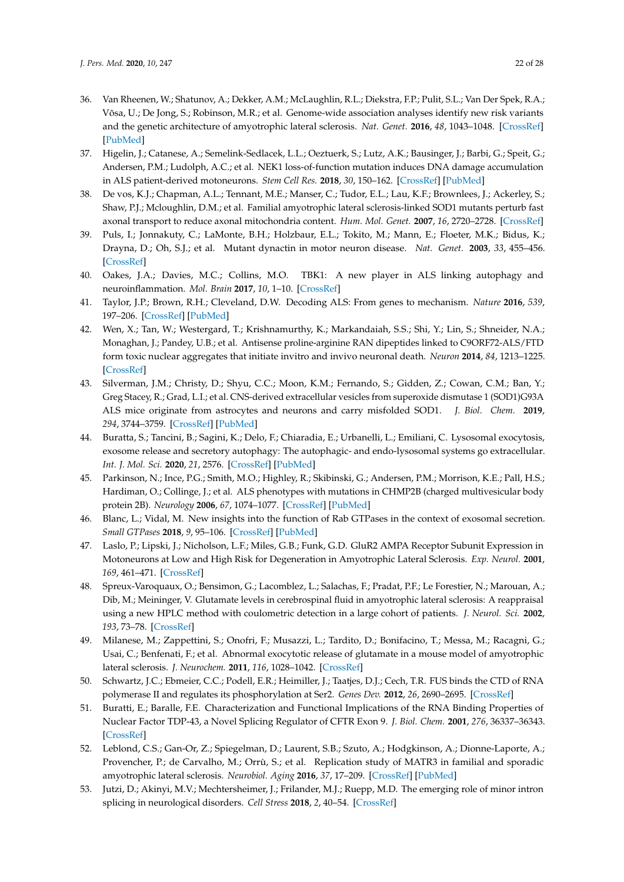- <span id="page-21-0"></span>36. Van Rheenen, W.; Shatunov, A.; Dekker, A.M.; McLaughlin, R.L.; Diekstra, F.P.; Pulit, S.L.; Van Der Spek, R.A.; Võsa, U.; De Jong, S.; Robinson, M.R.; et al. Genome-wide association analyses identify new risk variants and the genetic architecture of amyotrophic lateral sclerosis. *Nat. Genet.* **2016**, *48*, 1043–1048. [\[CrossRef\]](http://dx.doi.org/10.1038/ng.3622) [\[PubMed\]](http://www.ncbi.nlm.nih.gov/pubmed/27455348)
- <span id="page-21-1"></span>37. Higelin, J.; Catanese, A.; Semelink-Sedlacek, L.L.; Oeztuerk, S.; Lutz, A.K.; Bausinger, J.; Barbi, G.; Speit, G.; Andersen, P.M.; Ludolph, A.C.; et al. NEK1 loss-of-function mutation induces DNA damage accumulation in ALS patient-derived motoneurons. *Stem Cell Res.* **2018**, *30*, 150–162. [\[CrossRef\]](http://dx.doi.org/10.1016/j.scr.2018.06.005) [\[PubMed\]](http://www.ncbi.nlm.nih.gov/pubmed/29929116)
- <span id="page-21-2"></span>38. De vos, K.J.; Chapman, A.L.; Tennant, M.E.; Manser, C.; Tudor, E.L.; Lau, K.F.; Brownlees, J.; Ackerley, S.; Shaw, P.J.; Mcloughlin, D.M.; et al. Familial amyotrophic lateral sclerosis-linked SOD1 mutants perturb fast axonal transport to reduce axonal mitochondria content. *Hum. Mol. Genet.* **2007**, *16*, 2720–2728. [\[CrossRef\]](http://dx.doi.org/10.1093/hmg/ddm226)
- <span id="page-21-3"></span>39. Puls, I.; Jonnakuty, C.; LaMonte, B.H.; Holzbaur, E.L.; Tokito, M.; Mann, E.; Floeter, M.K.; Bidus, K.; Drayna, D.; Oh, S.J.; et al. Mutant dynactin in motor neuron disease. *Nat. Genet.* **2003**, *33*, 455–456. [\[CrossRef\]](http://dx.doi.org/10.1038/ng1123)
- <span id="page-21-4"></span>40. Oakes, J.A.; Davies, M.C.; Collins, M.O. TBK1: A new player in ALS linking autophagy and neuroinflammation. *Mol. Brain* **2017**, *10*, 1–10. [\[CrossRef\]](http://dx.doi.org/10.1186/s13041-017-0287-x)
- <span id="page-21-5"></span>41. Taylor, J.P.; Brown, R.H.; Cleveland, D.W. Decoding ALS: From genes to mechanism. *Nature* **2016**, *539*, 197–206. [\[CrossRef\]](http://dx.doi.org/10.1038/nature20413) [\[PubMed\]](http://www.ncbi.nlm.nih.gov/pubmed/27830784)
- <span id="page-21-6"></span>42. Wen, X.; Tan, W.; Westergard, T.; Krishnamurthy, K.; Markandaiah, S.S.; Shi, Y.; Lin, S.; Shneider, N.A.; Monaghan, J.; Pandey, U.B.; et al. Antisense proline-arginine RAN dipeptides linked to C9ORF72-ALS/FTD form toxic nuclear aggregates that initiate invitro and invivo neuronal death. *Neuron* **2014**, *84*, 1213–1225. [\[CrossRef\]](http://dx.doi.org/10.1016/j.neuron.2014.12.010)
- <span id="page-21-7"></span>43. Silverman, J.M.; Christy, D.; Shyu, C.C.; Moon, K.M.; Fernando, S.; Gidden, Z.; Cowan, C.M.; Ban, Y.; Greg Stacey, R.; Grad, L.I.; et al. CNS-derived extracellular vesicles from superoxide dismutase 1 (SOD1)G93A ALS mice originate from astrocytes and neurons and carry misfolded SOD1. *J. Biol. Chem.* **2019**, *294*, 3744–3759. [\[CrossRef\]](http://dx.doi.org/10.1074/jbc.RA118.004825) [\[PubMed\]](http://www.ncbi.nlm.nih.gov/pubmed/30635404)
- <span id="page-21-8"></span>44. Buratta, S.; Tancini, B.; Sagini, K.; Delo, F.; Chiaradia, E.; Urbanelli, L.; Emiliani, C. Lysosomal exocytosis, exosome release and secretory autophagy: The autophagic- and endo-lysosomal systems go extracellular. *Int. J. Mol. Sci.* **2020**, *21*, 2576. [\[CrossRef\]](http://dx.doi.org/10.3390/ijms21072576) [\[PubMed\]](http://www.ncbi.nlm.nih.gov/pubmed/32276321)
- <span id="page-21-9"></span>45. Parkinson, N.; Ince, P.G.; Smith, M.O.; Highley, R.; Skibinski, G.; Andersen, P.M.; Morrison, K.E.; Pall, H.S.; Hardiman, O.; Collinge, J.; et al. ALS phenotypes with mutations in CHMP2B (charged multivesicular body protein 2B). *Neurology* **2006**, *67*, 1074–1077. [\[CrossRef\]](http://dx.doi.org/10.1212/01.wnl.0000231510.89311.8b) [\[PubMed\]](http://www.ncbi.nlm.nih.gov/pubmed/16807408)
- <span id="page-21-10"></span>46. Blanc, L.; Vidal, M. New insights into the function of Rab GTPases in the context of exosomal secretion. *Small GTPases* **2018**, *9*, 95–106. [\[CrossRef\]](http://dx.doi.org/10.1080/21541248.2016.1264352) [\[PubMed\]](http://www.ncbi.nlm.nih.gov/pubmed/28135905)
- <span id="page-21-11"></span>47. Laslo, P.; Lipski, J.; Nicholson, L.F.; Miles, G.B.; Funk, G.D. GluR2 AMPA Receptor Subunit Expression in Motoneurons at Low and High Risk for Degeneration in Amyotrophic Lateral Sclerosis. *Exp. Neurol.* **2001**, *169*, 461–471. [\[CrossRef\]](http://dx.doi.org/10.1006/exnr.2001.7653)
- <span id="page-21-14"></span>48. Spreux-Varoquaux, O.; Bensimon, G.; Lacomblez, L.; Salachas, F.; Pradat, P.F.; Le Forestier, N.; Marouan, A.; Dib, M.; Meininger, V. Glutamate levels in cerebrospinal fluid in amyotrophic lateral sclerosis: A reappraisal using a new HPLC method with coulometric detection in a large cohort of patients. *J. Neurol. Sci.* **2002**, *193*, 73–78. [\[CrossRef\]](http://dx.doi.org/10.1016/S0022-510X(01)00661-X)
- <span id="page-21-12"></span>49. Milanese, M.; Zappettini, S.; Onofri, F.; Musazzi, L.; Tardito, D.; Bonifacino, T.; Messa, M.; Racagni, G.; Usai, C.; Benfenati, F.; et al. Abnormal exocytotic release of glutamate in a mouse model of amyotrophic lateral sclerosis. *J. Neurochem.* **2011**, *116*, 1028–1042. [\[CrossRef\]](http://dx.doi.org/10.1111/j.1471-4159.2010.07155.x)
- <span id="page-21-13"></span>50. Schwartz, J.C.; Ebmeier, C.C.; Podell, E.R.; Heimiller, J.; Taatjes, D.J.; Cech, T.R. FUS binds the CTD of RNA polymerase II and regulates its phosphorylation at Ser2. *Genes Dev.* **2012**, *26*, 2690–2695. [\[CrossRef\]](http://dx.doi.org/10.1101/gad.204602.112)
- 51. Buratti, E.; Baralle, F.E. Characterization and Functional Implications of the RNA Binding Properties of Nuclear Factor TDP-43, a Novel Splicing Regulator of CFTR Exon 9. *J. Biol. Chem.* **2001**, *276*, 36337–36343. [\[CrossRef\]](http://dx.doi.org/10.1074/jbc.M104236200)
- 52. Leblond, C.S.; Gan-Or, Z.; Spiegelman, D.; Laurent, S.B.; Szuto, A.; Hodgkinson, A.; Dionne-Laporte, A.; Provencher, P.; de Carvalho, M.; Orrù, S.; et al. Replication study of MATR3 in familial and sporadic amyotrophic lateral sclerosis. *Neurobiol. Aging* **2016**, *37*, 17–209. [\[CrossRef\]](http://dx.doi.org/10.1016/j.neurobiolaging.2015.09.013) [\[PubMed\]](http://www.ncbi.nlm.nih.gov/pubmed/26493020)
- 53. Jutzi, D.; Akinyi, M.V.; Mechtersheimer, J.; Frilander, M.J.; Ruepp, M.D. The emerging role of minor intron splicing in neurological disorders. *Cell Stress* **2018**, *2*, 40–54. [\[CrossRef\]](http://dx.doi.org/10.15698/cst2018.03.126)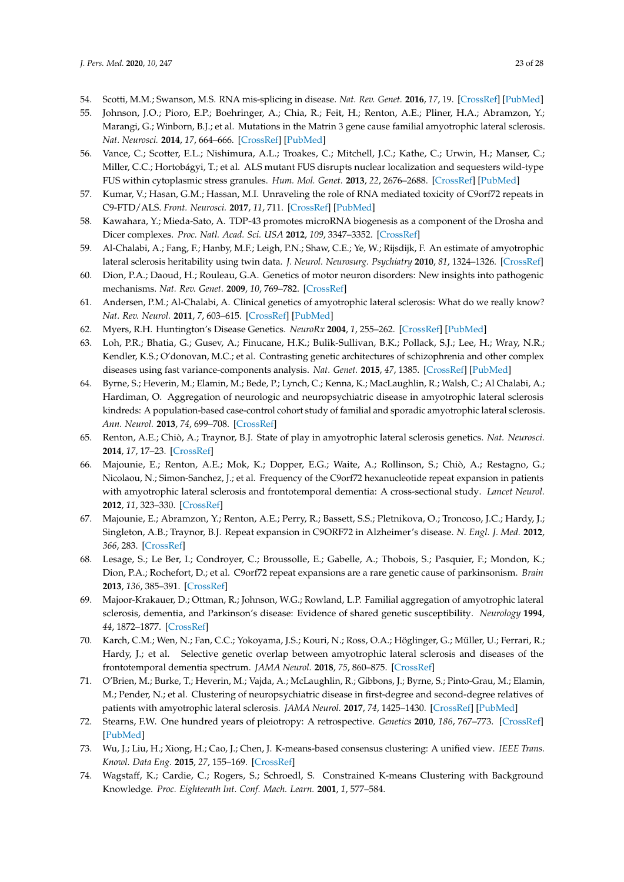- 54. Scotti, M.M.; Swanson, M.S. RNA mis-splicing in disease. *Nat. Rev. Genet.* **2016**, *17*, 19. [\[CrossRef\]](http://dx.doi.org/10.1038/nrg.2015.3) [\[PubMed\]](http://www.ncbi.nlm.nih.gov/pubmed/26593421)
- <span id="page-22-0"></span>55. Johnson, J.O.; Pioro, E.P.; Boehringer, A.; Chia, R.; Feit, H.; Renton, A.E.; Pliner, H.A.; Abramzon, Y.; Marangi, G.; Winborn, B.J.; et al. Mutations in the Matrin 3 gene cause familial amyotrophic lateral sclerosis. *Nat. Neurosci.* **2014**, *17*, 664–666. [\[CrossRef\]](http://dx.doi.org/10.1038/nn.3688) [\[PubMed\]](http://www.ncbi.nlm.nih.gov/pubmed/24686783)
- <span id="page-22-1"></span>56. Vance, C.; Scotter, E.L.; Nishimura, A.L.; Troakes, C.; Mitchell, J.C.; Kathe, C.; Urwin, H.; Manser, C.; Miller, C.C.; Hortobágyi, T.; et al. ALS mutant FUS disrupts nuclear localization and sequesters wild-type FUS within cytoplasmic stress granules. *Hum. Mol. Genet.* **2013**, *22*, 2676–2688. [\[CrossRef\]](http://dx.doi.org/10.1093/hmg/ddt117) [\[PubMed\]](http://www.ncbi.nlm.nih.gov/pubmed/23474818)
- <span id="page-22-2"></span>57. Kumar, V.; Hasan, G.M.; Hassan, M.I. Unraveling the role of RNA mediated toxicity of C9orf72 repeats in C9-FTD/ALS. *Front. Neurosci.* **2017**, *11*, 711. [\[CrossRef\]](http://dx.doi.org/10.3389/fnins.2017.00711) [\[PubMed\]](http://www.ncbi.nlm.nih.gov/pubmed/29326544)
- <span id="page-22-3"></span>58. Kawahara, Y.; Mieda-Sato, A. TDP-43 promotes microRNA biogenesis as a component of the Drosha and Dicer complexes. *Proc. Natl. Acad. Sci. USA* **2012**, *109*, 3347–3352. [\[CrossRef\]](http://dx.doi.org/10.1073/pnas.1112427109)
- <span id="page-22-4"></span>59. Al-Chalabi, A.; Fang, F.; Hanby, M.F.; Leigh, P.N.; Shaw, C.E.; Ye, W.; Rijsdijk, F. An estimate of amyotrophic lateral sclerosis heritability using twin data. *J. Neurol. Neurosurg. Psychiatry* **2010**, *81*, 1324–1326. [\[CrossRef\]](http://dx.doi.org/10.1136/jnnp.2010.207464)
- <span id="page-22-5"></span>60. Dion, P.A.; Daoud, H.; Rouleau, G.A. Genetics of motor neuron disorders: New insights into pathogenic mechanisms. *Nat. Rev. Genet.* **2009**, *10*, 769–782. [\[CrossRef\]](http://dx.doi.org/10.1038/nrg2680)
- <span id="page-22-6"></span>61. Andersen, P.M.; Al-Chalabi, A. Clinical genetics of amyotrophic lateral sclerosis: What do we really know? *Nat. Rev. Neurol.* **2011**, *7*, 603–615. [\[CrossRef\]](http://dx.doi.org/10.1038/nrneurol.2011.150) [\[PubMed\]](http://www.ncbi.nlm.nih.gov/pubmed/21989245)
- <span id="page-22-7"></span>62. Myers, R.H. Huntington's Disease Genetics. *NeuroRx* **2004**, *1*, 255–262. [\[CrossRef\]](http://dx.doi.org/10.1602/neurorx.1.2.255) [\[PubMed\]](http://www.ncbi.nlm.nih.gov/pubmed/15717026)
- <span id="page-22-8"></span>63. Loh, P.R.; Bhatia, G.; Gusev, A.; Finucane, H.K.; Bulik-Sullivan, B.K.; Pollack, S.J.; Lee, H.; Wray, N.R.; Kendler, K.S.; O'donovan, M.C.; et al. Contrasting genetic architectures of schizophrenia and other complex diseases using fast variance-components analysis. *Nat. Genet.* **2015**, *47*, 1385. [\[CrossRef\]](http://dx.doi.org/10.1038/ng.3431) [\[PubMed\]](http://www.ncbi.nlm.nih.gov/pubmed/26523775)
- <span id="page-22-9"></span>64. Byrne, S.; Heverin, M.; Elamin, M.; Bede, P.; Lynch, C.; Kenna, K.; MacLaughlin, R.; Walsh, C.; Al Chalabi, A.; Hardiman, O. Aggregation of neurologic and neuropsychiatric disease in amyotrophic lateral sclerosis kindreds: A population-based case-control cohort study of familial and sporadic amyotrophic lateral sclerosis. *Ann. Neurol.* **2013**, *74*, 699–708. [\[CrossRef\]](http://dx.doi.org/10.1002/ana.23969)
- <span id="page-22-10"></span>65. Renton, A.E.; Chiò, A.; Traynor, B.J. State of play in amyotrophic lateral sclerosis genetics. *Nat. Neurosci.* **2014**, *17*, 17–23. [\[CrossRef\]](http://dx.doi.org/10.1038/nn.3584)
- <span id="page-22-11"></span>66. Majounie, E.; Renton, A.E.; Mok, K.; Dopper, E.G.; Waite, A.; Rollinson, S.; Chiò, A.; Restagno, G.; Nicolaou, N.; Simon-Sanchez, J.; et al. Frequency of the C9orf72 hexanucleotide repeat expansion in patients with amyotrophic lateral sclerosis and frontotemporal dementia: A cross-sectional study. *Lancet Neurol.* **2012**, *11*, 323–330. [\[CrossRef\]](http://dx.doi.org/10.1016/S1474-4422(12)70043-1)
- <span id="page-22-12"></span>67. Majounie, E.; Abramzon, Y.; Renton, A.E.; Perry, R.; Bassett, S.S.; Pletnikova, O.; Troncoso, J.C.; Hardy, J.; Singleton, A.B.; Traynor, B.J. Repeat expansion in C9ORF72 in Alzheimer's disease. *N. Engl. J. Med.* **2012**, *366*, 283. [\[CrossRef\]](http://dx.doi.org/10.1056/NEJMc1113592)
- 68. Lesage, S.; Le Ber, I.; Condroyer, C.; Broussolle, E.; Gabelle, A.; Thobois, S.; Pasquier, F.; Mondon, K.; Dion, P.A.; Rochefort, D.; et al. C9orf72 repeat expansions are a rare genetic cause of parkinsonism. *Brain* **2013**, *136*, 385–391. [\[CrossRef\]](http://dx.doi.org/10.1093/brain/aws357)
- <span id="page-22-13"></span>69. Majoor-Krakauer, D.; Ottman, R.; Johnson, W.G.; Rowland, L.P. Familial aggregation of amyotrophic lateral sclerosis, dementia, and Parkinson's disease: Evidence of shared genetic susceptibility. *Neurology* **1994**, *44*, 1872–1877. [\[CrossRef\]](http://dx.doi.org/10.1212/WNL.44.10.1872)
- <span id="page-22-14"></span>70. Karch, C.M.; Wen, N.; Fan, C.C.; Yokoyama, J.S.; Kouri, N.; Ross, O.A.; Höglinger, G.; Müller, U.; Ferrari, R.; Hardy, J.; et al. Selective genetic overlap between amyotrophic lateral sclerosis and diseases of the frontotemporal dementia spectrum. *JAMA Neurol.* **2018**, *75*, 860–875. [\[CrossRef\]](http://dx.doi.org/10.1001/jamaneurol.2018.0372)
- <span id="page-22-16"></span>71. O'Brien, M.; Burke, T.; Heverin, M.; Vajda, A.; McLaughlin, R.; Gibbons, J.; Byrne, S.; Pinto-Grau, M.; Elamin, M.; Pender, N.; et al. Clustering of neuropsychiatric disease in first-degree and second-degree relatives of patients with amyotrophic lateral sclerosis. *JAMA Neurol.* **2017**, *74*, 1425–1430. [\[CrossRef\]](http://dx.doi.org/10.1001/jamaneurol.2017.2699) [\[PubMed\]](http://www.ncbi.nlm.nih.gov/pubmed/29049464)
- <span id="page-22-15"></span>72. Stearns, F.W. One hundred years of pleiotropy: A retrospective. *Genetics* **2010**, *186*, 767–773. [\[CrossRef\]](http://dx.doi.org/10.1534/genetics.110.122549) [\[PubMed\]](http://www.ncbi.nlm.nih.gov/pubmed/21062962)
- <span id="page-22-17"></span>73. Wu, J.; Liu, H.; Xiong, H.; Cao, J.; Chen, J. K-means-based consensus clustering: A unified view. *IEEE Trans. Knowl. Data Eng.* **2015**, *27*, 155–169. [\[CrossRef\]](http://dx.doi.org/10.1109/TKDE.2014.2316512)
- <span id="page-22-18"></span>74. Wagstaff, K.; Cardie, C.; Rogers, S.; Schroedl, S. Constrained K-means Clustering with Background Knowledge. *Proc. Eighteenth Int. Conf. Mach. Learn.* **2001**, *1*, 577–584.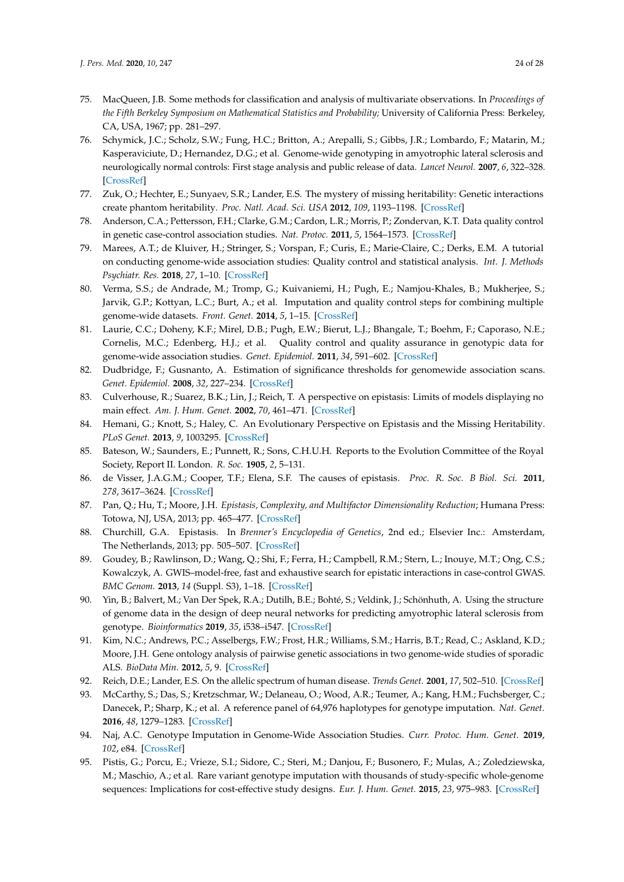- <span id="page-23-0"></span>75. MacQueen, J.B. Some methods for classification and analysis of multivariate observations. In *Proceedings of the Fifth Berkeley Symposium on Mathematical Statistics and Probability;* University of California Press: Berkeley, CA, USA, 1967; pp. 281–297.
- <span id="page-23-1"></span>76. Schymick, J.C.; Scholz, S.W.; Fung, H.C.; Britton, A.; Arepalli, S.; Gibbs, J.R.; Lombardo, F.; Matarin, M.; Kasperaviciute, D.; Hernandez, D.G.; et al. Genome-wide genotyping in amyotrophic lateral sclerosis and neurologically normal controls: First stage analysis and public release of data. *Lancet Neurol.* **2007**, *6*, 322–328. [\[CrossRef\]](http://dx.doi.org/10.1016/S1474-4422(07)70037-6)
- <span id="page-23-2"></span>77. Zuk, O.; Hechter, E.; Sunyaev, S.R.; Lander, E.S. The mystery of missing heritability: Genetic interactions create phantom heritability. *Proc. Natl. Acad. Sci. USA* **2012**, *109*, 1193–1198. [\[CrossRef\]](http://dx.doi.org/10.1073/pnas.1119675109)
- <span id="page-23-3"></span>78. Anderson, C.A.; Pettersson, F.H.; Clarke, G.M.; Cardon, L.R.; Morris, P.; Zondervan, K.T. Data quality control in genetic case-control association studies. *Nat. Protoc.* **2011**, *5*, 1564–1573. [\[CrossRef\]](http://dx.doi.org/10.1038/nprot.2010.116)
- 79. Marees, A.T.; de Kluiver, H.; Stringer, S.; Vorspan, F.; Curis, E.; Marie-Claire, C.; Derks, E.M. A tutorial on conducting genome-wide association studies: Quality control and statistical analysis. *Int. J. Methods Psychiatr. Res.* **2018**, *27*, 1–10. [\[CrossRef\]](http://dx.doi.org/10.1002/mpr.1608)
- 80. Verma, S.S.; de Andrade, M.; Tromp, G.; Kuivaniemi, H.; Pugh, E.; Namjou-Khales, B.; Mukherjee, S.; Jarvik, G.P.; Kottyan, L.C.; Burt, A.; et al. Imputation and quality control steps for combining multiple genome-wide datasets. *Front. Genet.* **2014**, *5*, 1–15. [\[CrossRef\]](http://dx.doi.org/10.3389/fgene.2014.00370)
- <span id="page-23-4"></span>81. Laurie, C.C.; Doheny, K.F.; Mirel, D.B.; Pugh, E.W.; Bierut, L.J.; Bhangale, T.; Boehm, F.; Caporaso, N.E.; Cornelis, M.C.; Edenberg, H.J.; et al. Quality control and quality assurance in genotypic data for genome-wide association studies. *Genet. Epidemiol.* **2011**, *34*, 591–602. [\[CrossRef\]](http://dx.doi.org/10.1002/gepi.20516)
- <span id="page-23-5"></span>82. Dudbridge, F.; Gusnanto, A. Estimation of significance thresholds for genomewide association scans. *Genet. Epidemiol.* **2008**, *32*, 227–234. [\[CrossRef\]](http://dx.doi.org/10.1002/gepi.20297)
- <span id="page-23-6"></span>83. Culverhouse, R.; Suarez, B.K.; Lin, J.; Reich, T. A perspective on epistasis: Limits of models displaying no main effect. *Am. J. Hum. Genet.* **2002**, *70*, 461–471. [\[CrossRef\]](http://dx.doi.org/10.1086/338759)
- <span id="page-23-7"></span>84. Hemani, G.; Knott, S.; Haley, C. An Evolutionary Perspective on Epistasis and the Missing Heritability. *PLoS Genet.* **2013**, *9*, 1003295. [\[CrossRef\]](http://dx.doi.org/10.1371/journal.pgen.1003295)
- <span id="page-23-8"></span>85. Bateson, W.; Saunders, E.; Punnett, R.; Sons, C.H.U.H. Reports to the Evolution Committee of the Royal Society, Report II. London. *R. Soc.* **1905**, *2*, 5–131.
- <span id="page-23-9"></span>86. de Visser, J.A.G.M.; Cooper, T.F.; Elena, S.F. The causes of epistasis. *Proc. R. Soc. B Biol. Sci.* **2011**, *278*, 3617–3624. [\[CrossRef\]](http://dx.doi.org/10.1098/rspb.2011.1537)
- <span id="page-23-10"></span>87. Pan, Q.; Hu, T.; Moore, J.H. *Epistasis, Complexity, and Multifactor Dimensionality Reduction*; Humana Press: Totowa, NJ, USA, 2013; pp. 465–477. [\[CrossRef\]](http://dx.doi.org/10.1007/978-1-62703-447-0{_}22)
- <span id="page-23-11"></span>88. Churchill, G.A. Epistasis. In *Brenner's Encyclopedia of Genetics*, 2nd ed.; Elsevier Inc.: Amsterdam, The Netherlands, 2013; pp. 505–507. [\[CrossRef\]](http://dx.doi.org/10.1016/B978-0-12-374984-0.00482-4)
- <span id="page-23-12"></span>89. Goudey, B.; Rawlinson, D.; Wang, Q.; Shi, F.; Ferra, H.; Campbell, R.M.; Stern, L.; Inouye, M.T.; Ong, C.S.; Kowalczyk, A. GWIS–model-free, fast and exhaustive search for epistatic interactions in case-control GWAS. *BMC Genom.* **2013**, *14* (Suppl. S3), 1–18. [\[CrossRef\]](http://dx.doi.org/10.1186/1471-2164-14-S3-S10)
- <span id="page-23-13"></span>90. Yin, B.; Balvert, M.; Van Der Spek, R.A.; Dutilh, B.E.; Bohté, S.; Veldink, J.; Schönhuth, A. Using the structure of genome data in the design of deep neural networks for predicting amyotrophic lateral sclerosis from genotype. *Bioinformatics* **2019**, *35*, i538–i547. [\[CrossRef\]](http://dx.doi.org/10.1093/bioinformatics/btz369)
- <span id="page-23-14"></span>91. Kim, N.C.; Andrews, P.C.; Asselbergs, F.W.; Frost, H.R.; Williams, S.M.; Harris, B.T.; Read, C.; Askland, K.D.; Moore, J.H. Gene ontology analysis of pairwise genetic associations in two genome-wide studies of sporadic ALS. *BioData Min.* **2012**, *5*, 9. [\[CrossRef\]](http://dx.doi.org/10.1186/1756-0381-5-9)
- <span id="page-23-15"></span>92. Reich, D.E.; Lander, E.S. On the allelic spectrum of human disease. *Trends Genet.* **2001**, *17*, 502–510. [\[CrossRef\]](http://dx.doi.org/10.1016/S0168-9525(01)02410-6)
- <span id="page-23-16"></span>93. McCarthy, S.; Das, S.; Kretzschmar, W.; Delaneau, O.; Wood, A.R.; Teumer, A.; Kang, H.M.; Fuchsberger, C.; Danecek, P.; Sharp, K.; et al. A reference panel of 64,976 haplotypes for genotype imputation. *Nat. Genet.* **2016**, *48*, 1279–1283. [\[CrossRef\]](http://dx.doi.org/10.1038/ng.3643)
- 94. Naj, A.C. Genotype Imputation in Genome-Wide Association Studies. *Curr. Protoc. Hum. Genet.* **2019**, *102*, e84. [\[CrossRef\]](http://dx.doi.org/10.1002/cphg.84)
- <span id="page-23-17"></span>95. Pistis, G.; Porcu, E.; Vrieze, S.I.; Sidore, C.; Steri, M.; Danjou, F.; Busonero, F.; Mulas, A.; Zoledziewska, M.; Maschio, A.; et al. Rare variant genotype imputation with thousands of study-specific whole-genome sequences: Implications for cost-effective study designs. *Eur. J. Hum. Genet.* **2015**, *23*, 975–983. [\[CrossRef\]](http://dx.doi.org/10.1038/ejhg.2014.216)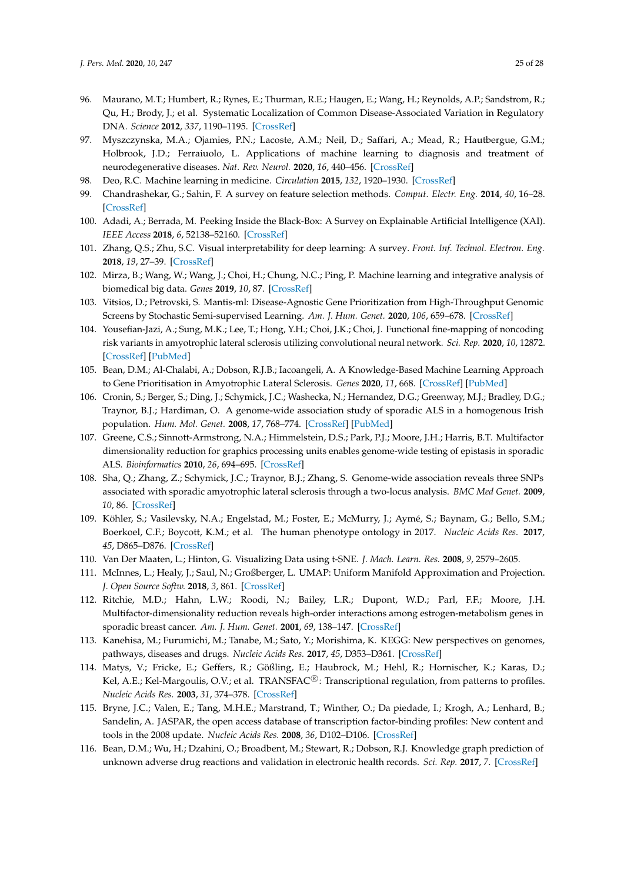- <span id="page-24-0"></span>96. Maurano, M.T.; Humbert, R.; Rynes, E.; Thurman, R.E.; Haugen, E.; Wang, H.; Reynolds, A.P.; Sandstrom, R.; Qu, H.; Brody, J.; et al. Systematic Localization of Common Disease-Associated Variation in Regulatory DNA. *Science* **2012**, *337*, 1190–1195. [\[CrossRef\]](http://dx.doi.org/10.1126/science.1222794)
- <span id="page-24-1"></span>97. Myszczynska, M.A.; Ojamies, P.N.; Lacoste, A.M.; Neil, D.; Saffari, A.; Mead, R.; Hautbergue, G.M.; Holbrook, J.D.; Ferraiuolo, L. Applications of machine learning to diagnosis and treatment of neurodegenerative diseases. *Nat. Rev. Neurol.* **2020**, *16*, 440–456. [\[CrossRef\]](http://dx.doi.org/10.1038/s41582-020-0377-8)
- <span id="page-24-3"></span><span id="page-24-2"></span>98. Deo, R.C. Machine learning in medicine. *Circulation* **2015**, *132*, 1920–1930. [\[CrossRef\]](http://dx.doi.org/10.1161/CIRCULATIONAHA.115.001593)
- 99. Chandrashekar, G.; Sahin, F. A survey on feature selection methods. *Comput. Electr. Eng.* **2014**, *40*, 16–28. [\[CrossRef\]](http://dx.doi.org/10.1016/j.compeleceng.2013.11.024)
- <span id="page-24-4"></span>100. Adadi, A.; Berrada, M. Peeking Inside the Black-Box: A Survey on Explainable Artificial Intelligence (XAI). *IEEE Access* **2018**, *6*, 52138–52160. [\[CrossRef\]](http://dx.doi.org/10.1109/ACCESS.2018.2870052)
- <span id="page-24-5"></span>101. Zhang, Q.S.; Zhu, S.C. Visual interpretability for deep learning: A survey. *Front. Inf. Technol. Electron. Eng.* **2018**, *19*, 27–39. [\[CrossRef\]](http://dx.doi.org/10.1631/FITEE.1700808)
- <span id="page-24-6"></span>102. Mirza, B.; Wang, W.; Wang, J.; Choi, H.; Chung, N.C.; Ping, P. Machine learning and integrative analysis of biomedical big data. *Genes* **2019**, *10*, 87. [\[CrossRef\]](http://dx.doi.org/10.3390/genes10020087)
- <span id="page-24-7"></span>103. Vitsios, D.; Petrovski, S. Mantis-ml: Disease-Agnostic Gene Prioritization from High-Throughput Genomic Screens by Stochastic Semi-supervised Learning. *Am. J. Hum. Genet.* **2020**, *106*, 659–678. [\[CrossRef\]](http://dx.doi.org/10.1016/j.ajhg.2020.03.012)
- <span id="page-24-8"></span>104. Yousefian-Jazi, A.; Sung, M.K.; Lee, T.; Hong, Y.H.; Choi, J.K.; Choi, J. Functional fine-mapping of noncoding risk variants in amyotrophic lateral sclerosis utilizing convolutional neural network. *Sci. Rep.* **2020**, *10*, 12872. [\[CrossRef\]](http://dx.doi.org/10.1038/s41598-020-69790-6) [\[PubMed\]](http://www.ncbi.nlm.nih.gov/pubmed/32732921)
- <span id="page-24-9"></span>105. Bean, D.M.; Al-Chalabi, A.; Dobson, R.J.B.; Iacoangeli, A. A Knowledge-Based Machine Learning Approach to Gene Prioritisation in Amyotrophic Lateral Sclerosis. *Genes* **2020**, *11*, 668. [\[CrossRef\]](http://dx.doi.org/10.3390/genes11060668) [\[PubMed\]](http://www.ncbi.nlm.nih.gov/pubmed/32575372)
- <span id="page-24-10"></span>106. Cronin, S.; Berger, S.; Ding, J.; Schymick, J.C.; Washecka, N.; Hernandez, D.G.; Greenway, M.J.; Bradley, D.G.; Traynor, B.J.; Hardiman, O. A genome-wide association study of sporadic ALS in a homogenous Irish population. *Hum. Mol. Genet.* **2008**, *17*, 768–774. [\[CrossRef\]](http://dx.doi.org/10.1093/hmg/ddm361) [\[PubMed\]](http://www.ncbi.nlm.nih.gov/pubmed/18057069)
- <span id="page-24-11"></span>107. Greene, C.S.; Sinnott-Armstrong, N.A.; Himmelstein, D.S.; Park, P.J.; Moore, J.H.; Harris, B.T. Multifactor dimensionality reduction for graphics processing units enables genome-wide testing of epistasis in sporadic ALS. *Bioinformatics* **2010**, *26*, 694–695. [\[CrossRef\]](http://dx.doi.org/10.1093/bioinformatics/btq009)
- <span id="page-24-12"></span>108. Sha, Q.; Zhang, Z.; Schymick, J.C.; Traynor, B.J.; Zhang, S. Genome-wide association reveals three SNPs associated with sporadic amyotrophic lateral sclerosis through a two-locus analysis. *BMC Med Genet.* **2009**, *10*, 86. [\[CrossRef\]](http://dx.doi.org/10.1186/1471-2350-10-86)
- <span id="page-24-13"></span>109. Köhler, S.; Vasilevsky, N.A.; Engelstad, M.; Foster, E.; McMurry, J.; Aymé, S.; Baynam, G.; Bello, S.M.; Boerkoel, C.F.; Boycott, K.M.; et al. The human phenotype ontology in 2017. *Nucleic Acids Res.* **2017**, *45*, D865–D876. [\[CrossRef\]](http://dx.doi.org/10.1093/nar/gkw1039)
- <span id="page-24-14"></span>110. Van Der Maaten, L.; Hinton, G. Visualizing Data using t-SNE. *J. Mach. Learn. Res.* **2008**, *9*, 2579–2605.
- <span id="page-24-15"></span>111. McInnes, L.; Healy, J.; Saul, N.; Großberger, L. UMAP: Uniform Manifold Approximation and Projection. *J. Open Source Softw.* **2018**, *3*, 861. [\[CrossRef\]](http://dx.doi.org/10.21105/joss.00861)
- <span id="page-24-16"></span>112. Ritchie, M.D.; Hahn, L.W.; Roodi, N.; Bailey, L.R.; Dupont, W.D.; Parl, F.F.; Moore, J.H. Multifactor-dimensionality reduction reveals high-order interactions among estrogen-metabolism genes in sporadic breast cancer. *Am. J. Hum. Genet.* **2001**, *69*, 138–147. [\[CrossRef\]](http://dx.doi.org/10.1086/321276)
- <span id="page-24-17"></span>113. Kanehisa, M.; Furumichi, M.; Tanabe, M.; Sato, Y.; Morishima, K. KEGG: New perspectives on genomes, pathways, diseases and drugs. *Nucleic Acids Res.* **2017**, *45*, D353–D361. [\[CrossRef\]](http://dx.doi.org/10.1093/nar/gkw1092)
- 114. Matys, V.; Fricke, E.; Geffers, R.; Gößling, E.; Haubrock, M.; Hehl, R.; Hornischer, K.; Karas, D.; Kel, A.E.; Kel-Margoulis, O.V.; et al. TRANSFAC $^\circledR$ : Transcriptional regulation, from patterns to profiles. *Nucleic Acids Res.* **2003**, *31*, 374–378. [\[CrossRef\]](http://dx.doi.org/10.1093/nar/gkg108)
- <span id="page-24-18"></span>115. Bryne, J.C.; Valen, E.; Tang, M.H.E.; Marstrand, T.; Winther, O.; Da piedade, I.; Krogh, A.; Lenhard, B.; Sandelin, A. JASPAR, the open access database of transcription factor-binding profiles: New content and tools in the 2008 update. *Nucleic Acids Res.* **2008**, *36*, D102–D106. [\[CrossRef\]](http://dx.doi.org/10.1093/nar/gkm955)
- <span id="page-24-19"></span>116. Bean, D.M.; Wu, H.; Dzahini, O.; Broadbent, M.; Stewart, R.; Dobson, R.J. Knowledge graph prediction of unknown adverse drug reactions and validation in electronic health records. *Sci. Rep.* **2017**, *7*. [\[CrossRef\]](http://dx.doi.org/10.1038/s41598-017-16674-x)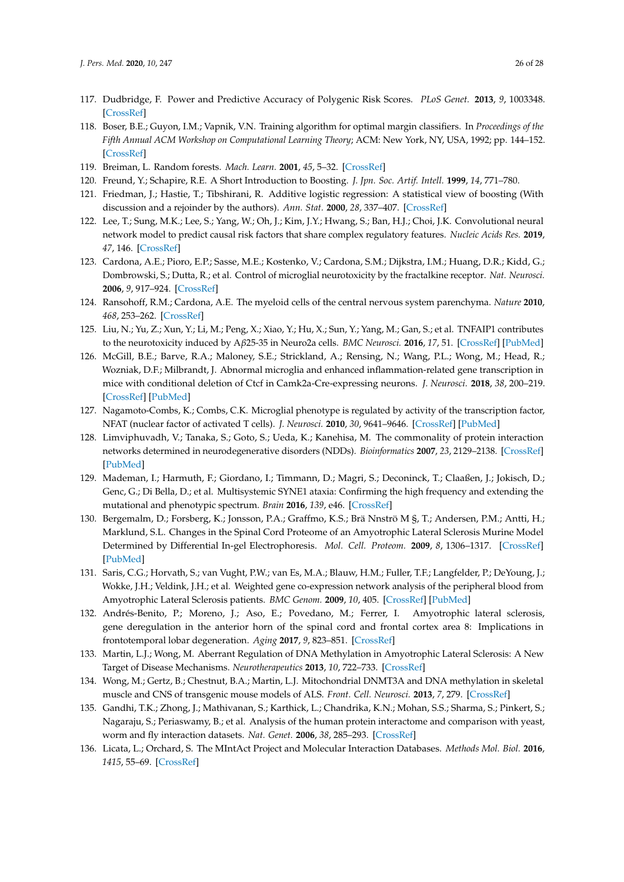- <span id="page-25-0"></span>117. Dudbridge, F. Power and Predictive Accuracy of Polygenic Risk Scores. *PLoS Genet.* **2013**, *9*, 1003348. [\[CrossRef\]](http://dx.doi.org/10.1371/annotation/b91ba224-10be-409d-93f4-7423d502cba0)
- <span id="page-25-1"></span>118. Boser, B.E.; Guyon, I.M.; Vapnik, V.N. Training algorithm for optimal margin classifiers. In *Proceedings of the Fifth Annual ACM Workshop on Computational Learning Theory*; ACM: New York, NY, USA, 1992; pp. 144–152. [\[CrossRef\]](http://dx.doi.org/10.1145/130385.130401)
- <span id="page-25-2"></span>119. Breiman, L. Random forests. *Mach. Learn.* **2001**, *45*, 5–32. [\[CrossRef\]](http://dx.doi.org/10.1023/A:1010933404324)
- <span id="page-25-4"></span><span id="page-25-3"></span>120. Freund, Y.; Schapire, R.E. A Short Introduction to Boosting. *J. Jpn. Soc. Artif. Intell.* **1999**, *14*, 771–780.
- 121. Friedman, J.; Hastie, T.; Tibshirani, R. Additive logistic regression: A statistical view of boosting (With discussion and a rejoinder by the authors). *Ann. Stat.* **2000**, *28*, 337–407. [\[CrossRef\]](http://dx.doi.org/10.1214/aos/1016218223)
- <span id="page-25-5"></span>122. Lee, T.; Sung, M.K.; Lee, S.; Yang, W.; Oh, J.; Kim, J.Y.; Hwang, S.; Ban, H.J.; Choi, J.K. Convolutional neural network model to predict causal risk factors that share complex regulatory features. *Nucleic Acids Res.* **2019**, *47*, 146. [\[CrossRef\]](http://dx.doi.org/10.1093/nar/gkz868)
- <span id="page-25-6"></span>123. Cardona, A.E.; Pioro, E.P.; Sasse, M.E.; Kostenko, V.; Cardona, S.M.; Dijkstra, I.M.; Huang, D.R.; Kidd, G.; Dombrowski, S.; Dutta, R.; et al. Control of microglial neurotoxicity by the fractalkine receptor. *Nat. Neurosci.* **2006**, *9*, 917–924. [\[CrossRef\]](http://dx.doi.org/10.1038/nn1715)
- <span id="page-25-7"></span>124. Ransohoff, R.M.; Cardona, A.E. The myeloid cells of the central nervous system parenchyma. *Nature* **2010**, *468*, 253–262. [\[CrossRef\]](http://dx.doi.org/10.1038/nature09615)
- <span id="page-25-8"></span>125. Liu, N.; Yu, Z.; Xun, Y.; Li, M.; Peng, X.; Xiao, Y.; Hu, X.; Sun, Y.; Yang, M.; Gan, S.; et al. TNFAIP1 contributes to the neurotoxicity induced by A*β*25-35 in Neuro2a cells. *BMC Neurosci.* **2016**, *17*, 51. [\[CrossRef\]](http://dx.doi.org/10.1186/s12868-016-0286-3) [\[PubMed\]](http://www.ncbi.nlm.nih.gov/pubmed/27430312)
- <span id="page-25-9"></span>126. McGill, B.E.; Barve, R.A.; Maloney, S.E.; Strickland, A.; Rensing, N.; Wang, P.L.; Wong, M.; Head, R.; Wozniak, D.F.; Milbrandt, J. Abnormal microglia and enhanced inflammation-related gene transcription in mice with conditional deletion of Ctcf in Camk2a-Cre-expressing neurons. *J. Neurosci.* **2018**, *38*, 200–219. [\[CrossRef\]](http://dx.doi.org/10.1523/JNEUROSCI.0936-17.2017) [\[PubMed\]](http://www.ncbi.nlm.nih.gov/pubmed/29133437)
- <span id="page-25-10"></span>127. Nagamoto-Combs, K.; Combs, C.K. Microglial phenotype is regulated by activity of the transcription factor, NFAT (nuclear factor of activated T cells). *J. Neurosci.* **2010**, *30*, 9641–9646. [\[CrossRef\]](http://dx.doi.org/10.1523/JNEUROSCI.0828-10.2010) [\[PubMed\]](http://www.ncbi.nlm.nih.gov/pubmed/20631193)
- <span id="page-25-11"></span>128. Limviphuvadh, V.; Tanaka, S.; Goto, S.; Ueda, K.; Kanehisa, M. The commonality of protein interaction networks determined in neurodegenerative disorders (NDDs). *Bioinformatics* **2007**, *23*, 2129–2138. [\[CrossRef\]](http://dx.doi.org/10.1093/bioinformatics/btm307) [\[PubMed\]](http://www.ncbi.nlm.nih.gov/pubmed/17553855)
- <span id="page-25-12"></span>129. Mademan, I.; Harmuth, F.; Giordano, I.; Timmann, D.; Magri, S.; Deconinck, T.; Claaßen, J.; Jokisch, D.; Genc, G.; Di Bella, D.; et al. Multisystemic SYNE1 ataxia: Confirming the high frequency and extending the mutational and phenotypic spectrum. *Brain* **2016**, *139*, e46. [\[CrossRef\]](http://dx.doi.org/10.1093/brain/aww115)
- <span id="page-25-13"></span>130. Bergemalm, D.; Forsberg, K.; Jonsson, P.A.; Graffmo, K.S.; Brä Nnströ M §, T.; Andersen, P.M.; Antti, H.; Marklund, S.L. Changes in the Spinal Cord Proteome of an Amyotrophic Lateral Sclerosis Murine Model Determined by Differential In-gel Electrophoresis. *Mol. Cell. Proteom.* **2009**, *8*, 1306–1317. [\[CrossRef\]](http://dx.doi.org/10.1074/mcp.M900046-MCP200) [\[PubMed\]](http://www.ncbi.nlm.nih.gov/pubmed/19357085)
- <span id="page-25-14"></span>131. Saris, C.G.; Horvath, S.; van Vught, P.W.; van Es, M.A.; Blauw, H.M.; Fuller, T.F.; Langfelder, P.; DeYoung, J.; Wokke, J.H.; Veldink, J.H.; et al. Weighted gene co-expression network analysis of the peripheral blood from Amyotrophic Lateral Sclerosis patients. *BMC Genom.* **2009**, *10*, 405. [\[CrossRef\]](http://dx.doi.org/10.1186/1471-2164-10-405) [\[PubMed\]](http://www.ncbi.nlm.nih.gov/pubmed/19712483)
- <span id="page-25-15"></span>132. Andrés-Benito, P.; Moreno, J.; Aso, E.; Povedano, M.; Ferrer, I. Amyotrophic lateral sclerosis, gene deregulation in the anterior horn of the spinal cord and frontal cortex area 8: Implications in frontotemporal lobar degeneration. *Aging* **2017**, *9*, 823–851. [\[CrossRef\]](http://dx.doi.org/10.18632/aging.101195)
- <span id="page-25-16"></span>133. Martin, L.J.; Wong, M. Aberrant Regulation of DNA Methylation in Amyotrophic Lateral Sclerosis: A New Target of Disease Mechanisms. *Neurotherapeutics* **2013**, *10*, 722–733. [\[CrossRef\]](http://dx.doi.org/10.1007/s13311-013-0205-6)
- <span id="page-25-17"></span>134. Wong, M.; Gertz, B.; Chestnut, B.A.; Martin, L.J. Mitochondrial DNMT3A and DNA methylation in skeletal muscle and CNS of transgenic mouse models of ALS. *Front. Cell. Neurosci.* **2013**, *7*, 279. [\[CrossRef\]](http://dx.doi.org/10.3389/fncel.2013.00279)
- <span id="page-25-18"></span>135. Gandhi, T.K.; Zhong, J.; Mathivanan, S.; Karthick, L.; Chandrika, K.N.; Mohan, S.S.; Sharma, S.; Pinkert, S.; Nagaraju, S.; Periaswamy, B.; et al. Analysis of the human protein interactome and comparison with yeast, worm and fly interaction datasets. *Nat. Genet.* **2006**, *38*, 285–293. [\[CrossRef\]](http://dx.doi.org/10.1038/ng1747)
- <span id="page-25-19"></span>136. Licata, L.; Orchard, S. The MIntAct Project and Molecular Interaction Databases. *Methods Mol. Biol.* **2016**, *1415*, 55–69. [\[CrossRef\]](http://dx.doi.org/10.1007/978-1-4939-3572-7{_}3)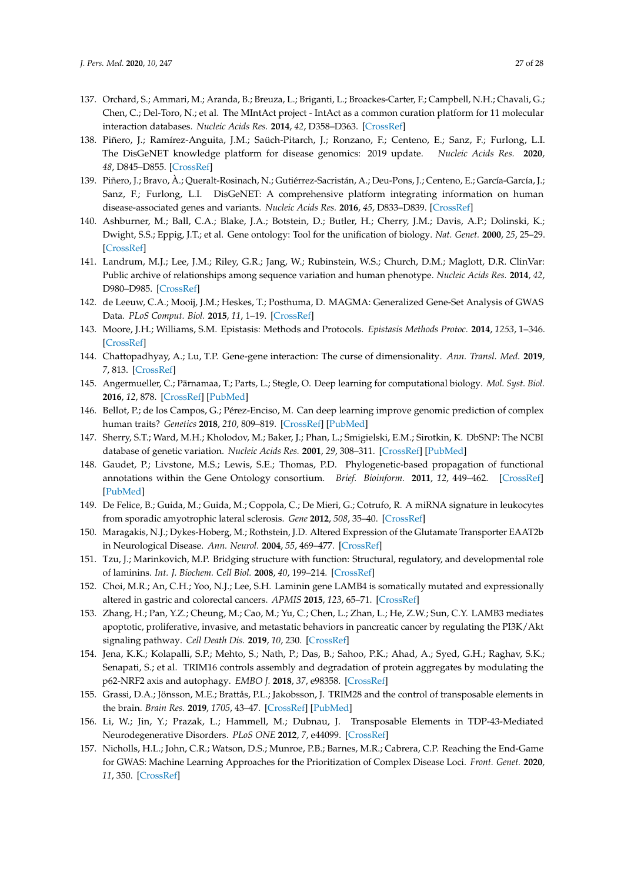- <span id="page-26-0"></span>137. Orchard, S.; Ammari, M.; Aranda, B.; Breuza, L.; Briganti, L.; Broackes-Carter, F.; Campbell, N.H.; Chavali, G.; Chen, C.; Del-Toro, N.; et al. The MIntAct project - IntAct as a common curation platform for 11 molecular interaction databases. *Nucleic Acids Res.* **2014**, *42*, D358–D363. [\[CrossRef\]](http://dx.doi.org/10.1093/nar/gkt1115)
- <span id="page-26-1"></span>138. Piñero, J.; Ramírez-Anguita, J.M.; Saüch-Pitarch, J.; Ronzano, F.; Centeno, E.; Sanz, F.; Furlong, L.I. The DisGeNET knowledge platform for disease genomics: 2019 update. *Nucleic Acids Res.* **2020**, *48*, D845–D855. [\[CrossRef\]](http://dx.doi.org/10.1093/nar/gkz1021)
- <span id="page-26-2"></span>139. Piñero, J.; Bravo, À.; Queralt-Rosinach, N.; Gutiérrez-Sacristán, A.; Deu-Pons, J.; Centeno, E.; García-García, J.; Sanz, F.; Furlong, L.I. DisGeNET: A comprehensive platform integrating information on human disease-associated genes and variants. *Nucleic Acids Res.* **2016**, *45*, D833–D839. [\[CrossRef\]](http://dx.doi.org/10.1093/nar/gkw943)
- <span id="page-26-3"></span>140. Ashburner, M.; Ball, C.A.; Blake, J.A.; Botstein, D.; Butler, H.; Cherry, J.M.; Davis, A.P.; Dolinski, K.; Dwight, S.S.; Eppig, J.T.; et al. Gene ontology: Tool for the unification of biology. *Nat. Genet.* **2000**, *25*, 25–29. [\[CrossRef\]](http://dx.doi.org/10.1038/75556)
- <span id="page-26-4"></span>141. Landrum, M.J.; Lee, J.M.; Riley, G.R.; Jang, W.; Rubinstein, W.S.; Church, D.M.; Maglott, D.R. ClinVar: Public archive of relationships among sequence variation and human phenotype. *Nucleic Acids Res.* **2014**, *42*, D980–D985. [\[CrossRef\]](http://dx.doi.org/10.1093/nar/gkt1113)
- <span id="page-26-5"></span>142. de Leeuw, C.A.; Mooij, J.M.; Heskes, T.; Posthuma, D. MAGMA: Generalized Gene-Set Analysis of GWAS Data. *PLoS Comput. Biol.* **2015**, *11*, 1–19. [\[CrossRef\]](http://dx.doi.org/10.1371/journal.pcbi.1004219)
- <span id="page-26-6"></span>143. Moore, J.H.; Williams, S.M. Epistasis: Methods and Protocols. *Epistasis Methods Protoc.* **2014**, *1253*, 1–346. [\[CrossRef\]](http://dx.doi.org/10.1007/978-1-4939-2155-3)
- <span id="page-26-7"></span>144. Chattopadhyay, A.; Lu, T.P. Gene-gene interaction: The curse of dimensionality. *Ann. Transl. Med.* **2019**, *7*, 813. [\[CrossRef\]](http://dx.doi.org/10.21037/atm.2019.12.87)
- <span id="page-26-8"></span>145. Angermueller, C.; Pärnamaa, T.; Parts, L.; Stegle, O. Deep learning for computational biology. *Mol. Syst. Biol.* **2016**, *12*, 878. [\[CrossRef\]](http://dx.doi.org/10.15252/msb.20156651) [\[PubMed\]](http://www.ncbi.nlm.nih.gov/pubmed/27474269)
- <span id="page-26-9"></span>146. Bellot, P.; de los Campos, G.; Pérez-Enciso, M. Can deep learning improve genomic prediction of complex human traits? *Genetics* **2018**, *210*, 809–819. [\[CrossRef\]](http://dx.doi.org/10.1534/genetics.118.301298) [\[PubMed\]](http://www.ncbi.nlm.nih.gov/pubmed/30171033)
- <span id="page-26-10"></span>147. Sherry, S.T.; Ward, M.H.; Kholodov, M.; Baker, J.; Phan, L.; Smigielski, E.M.; Sirotkin, K. DbSNP: The NCBI database of genetic variation. *Nucleic Acids Res.* **2001**, *29*, 308–311. [\[CrossRef\]](http://dx.doi.org/10.1093/nar/29.1.308) [\[PubMed\]](http://www.ncbi.nlm.nih.gov/pubmed/11125122)
- <span id="page-26-11"></span>148. Gaudet, P.; Livstone, M.S.; Lewis, S.E.; Thomas, P.D. Phylogenetic-based propagation of functional annotations within the Gene Ontology consortium. *Brief. Bioinform.* **2011**, *12*, 449–462. [\[CrossRef\]](http://dx.doi.org/10.1093/bib/bbr042) [\[PubMed\]](http://www.ncbi.nlm.nih.gov/pubmed/21873635)
- <span id="page-26-12"></span>149. De Felice, B.; Guida, M.; Guida, M.; Coppola, C.; De Mieri, G.; Cotrufo, R. A miRNA signature in leukocytes from sporadic amyotrophic lateral sclerosis. *Gene* **2012**, *508*, 35–40. [\[CrossRef\]](http://dx.doi.org/10.1016/j.gene.2012.07.058)
- <span id="page-26-13"></span>150. Maragakis, N.J.; Dykes-Hoberg, M.; Rothstein, J.D. Altered Expression of the Glutamate Transporter EAAT2b in Neurological Disease. *Ann. Neurol.* **2004**, *55*, 469–477. [\[CrossRef\]](http://dx.doi.org/10.1002/ana.20003)
- <span id="page-26-14"></span>151. Tzu, J.; Marinkovich, M.P. Bridging structure with function: Structural, regulatory, and developmental role of laminins. *Int. J. Biochem. Cell Biol.* **2008**, *40*, 199–214. [\[CrossRef\]](http://dx.doi.org/10.1016/j.biocel.2007.07.015)
- <span id="page-26-15"></span>152. Choi, M.R.; An, C.H.; Yoo, N.J.; Lee, S.H. Laminin gene LAMB4 is somatically mutated and expressionally altered in gastric and colorectal cancers. *APMIS* **2015**, *123*, 65–71. [\[CrossRef\]](http://dx.doi.org/10.1111/apm.12309)
- <span id="page-26-16"></span>153. Zhang, H.; Pan, Y.Z.; Cheung, M.; Cao, M.; Yu, C.; Chen, L.; Zhan, L.; He, Z.W.; Sun, C.Y. LAMB3 mediates apoptotic, proliferative, invasive, and metastatic behaviors in pancreatic cancer by regulating the PI3K/Akt signaling pathway. *Cell Death Dis.* **2019**, *10*, 230. [\[CrossRef\]](http://dx.doi.org/10.1038/s41419-019-1320-z)
- <span id="page-26-17"></span>154. Jena, K.K.; Kolapalli, S.P.; Mehto, S.; Nath, P.; Das, B.; Sahoo, P.K.; Ahad, A.; Syed, G.H.; Raghav, S.K.; Senapati, S.; et al. TRIM16 controls assembly and degradation of protein aggregates by modulating the p62-NRF2 axis and autophagy. *EMBO J.* **2018**, *37*, e98358. [\[CrossRef\]](http://dx.doi.org/10.15252/embj.201798358)
- <span id="page-26-18"></span>155. Grassi, D.A.; Jönsson, M.E.; Brattås, P.L.; Jakobsson, J. TRIM28 and the control of transposable elements in the brain. *Brain Res.* **2019**, *1705*, 43–47. [\[CrossRef\]](http://dx.doi.org/10.1016/j.brainres.2018.02.043) [\[PubMed\]](http://www.ncbi.nlm.nih.gov/pubmed/29522722)
- <span id="page-26-19"></span>156. Li, W.; Jin, Y.; Prazak, L.; Hammell, M.; Dubnau, J. Transposable Elements in TDP-43-Mediated Neurodegenerative Disorders. *PLoS ONE* **2012**, *7*, e44099. [\[CrossRef\]](http://dx.doi.org/10.1371/journal.pone.0044099)
- <span id="page-26-20"></span>157. Nicholls, H.L.; John, C.R.; Watson, D.S.; Munroe, P.B.; Barnes, M.R.; Cabrera, C.P. Reaching the End-Game for GWAS: Machine Learning Approaches for the Prioritization of Complex Disease Loci. *Front. Genet.* **2020**, *11*, 350. [\[CrossRef\]](http://dx.doi.org/10.3389/fgene.2020.00350)